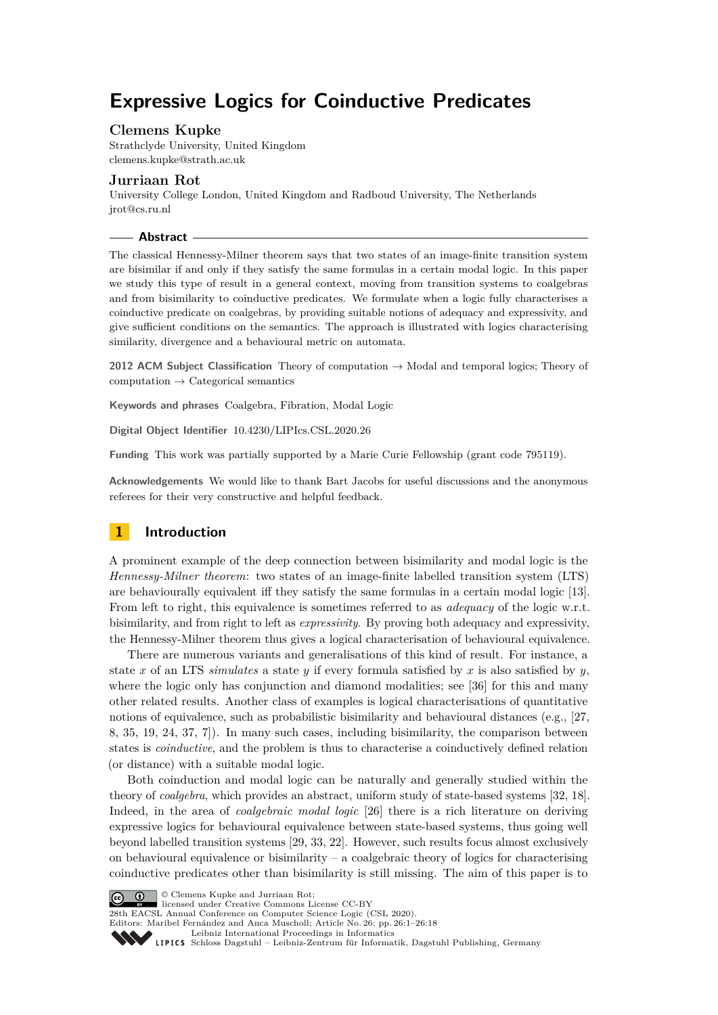# **Expressive Logics for Coinductive Predicates**

# **Clemens Kupke**

Strathclyde University, United Kingdom [clemens.kupke@strath.ac.uk](mailto:clemens.kupke@strath.ac.uk)

# **Jurriaan Rot**

University College London, United Kingdom and Radboud University, The Netherlands [jrot@cs.ru.nl](mailto:jrot@cs.ru.nl)

### **Abstract**

The classical Hennessy-Milner theorem says that two states of an image-finite transition system are bisimilar if and only if they satisfy the same formulas in a certain modal logic. In this paper we study this type of result in a general context, moving from transition systems to coalgebras and from bisimilarity to coinductive predicates. We formulate when a logic fully characterises a coinductive predicate on coalgebras, by providing suitable notions of adequacy and expressivity, and give sufficient conditions on the semantics. The approach is illustrated with logics characterising similarity, divergence and a behavioural metric on automata.

**2012 ACM Subject Classification** Theory of computation → Modal and temporal logics; Theory of  $computation \rightarrow Categorical semantics$ 

**Keywords and phrases** Coalgebra, Fibration, Modal Logic

**Digital Object Identifier** [10.4230/LIPIcs.CSL.2020.26](https://doi.org/10.4230/LIPIcs.CSL.2020.26)

**Funding** This work was partially supported by a Marie Curie Fellowship (grant code 795119).

**Acknowledgements** We would like to thank Bart Jacobs for useful discussions and the anonymous referees for their very constructive and helpful feedback.

# **1 Introduction**

A prominent example of the deep connection between bisimilarity and modal logic is the *Hennessy-Milner theorem*: two states of an image-finite labelled transition system (LTS) are behaviourally equivalent iff they satisfy the same formulas in a certain modal logic [\[13\]](#page-15-0). From left to right, this equivalence is sometimes referred to as *adequacy* of the logic w.r.t. bisimilarity, and from right to left as *expressivity*. By proving both adequacy and expressivity, the Hennessy-Milner theorem thus gives a logical characterisation of behavioural equivalence.

There are numerous variants and generalisations of this kind of result. For instance, a state *x* of an LTS *simulates* a state *y* if every formula satisfied by *x* is also satisfied by *y*, where the logic only has conjunction and diamond modalities; see [\[36\]](#page-17-0) for this and many other related results. Another class of examples is logical characterisations of quantitative notions of equivalence, such as probabilistic bisimilarity and behavioural distances (e.g., [\[27,](#page-16-0) [8,](#page-15-1) [35,](#page-17-1) [19,](#page-16-1) [24,](#page-16-2) [37,](#page-17-2) [7\]](#page-15-2)). In many such cases, including bisimilarity, the comparison between states is *coinductive*, and the problem is thus to characterise a coinductively defined relation (or distance) with a suitable modal logic.

Both coinduction and modal logic can be naturally and generally studied within the theory of *coalgebra*, which provides an abstract, uniform study of state-based systems [\[32,](#page-16-3) [18\]](#page-16-4). Indeed, in the area of *coalgebraic modal logic* [\[26\]](#page-16-5) there is a rich literature on deriving expressive logics for behavioural equivalence between state-based systems, thus going well beyond labelled transition systems [\[29,](#page-16-6) [33,](#page-16-7) [22\]](#page-16-8). However, such results focus almost exclusively on behavioural equivalence or bisimilarity – a coalgebraic theory of logics for characterising coinductive predicates other than bisimilarity is still missing. The aim of this paper is to

© Clemens Kupke and Jurriaan Rot;  $\boxed{6}$  0 licensed under Creative Commons License CC-BY 28th EACSL Annual Conference on Computer Science Logic (CSL 2020). Editors: Maribel Fernández and Anca Muscholl; Article No. 26; pp. 26:1–26[:18](#page-17-3) [Leibniz International Proceedings in Informatics](https://www.dagstuhl.de/lipics/) [Schloss Dagstuhl – Leibniz-Zentrum für Informatik, Dagstuhl Publishing, Germany](https://www.dagstuhl.de)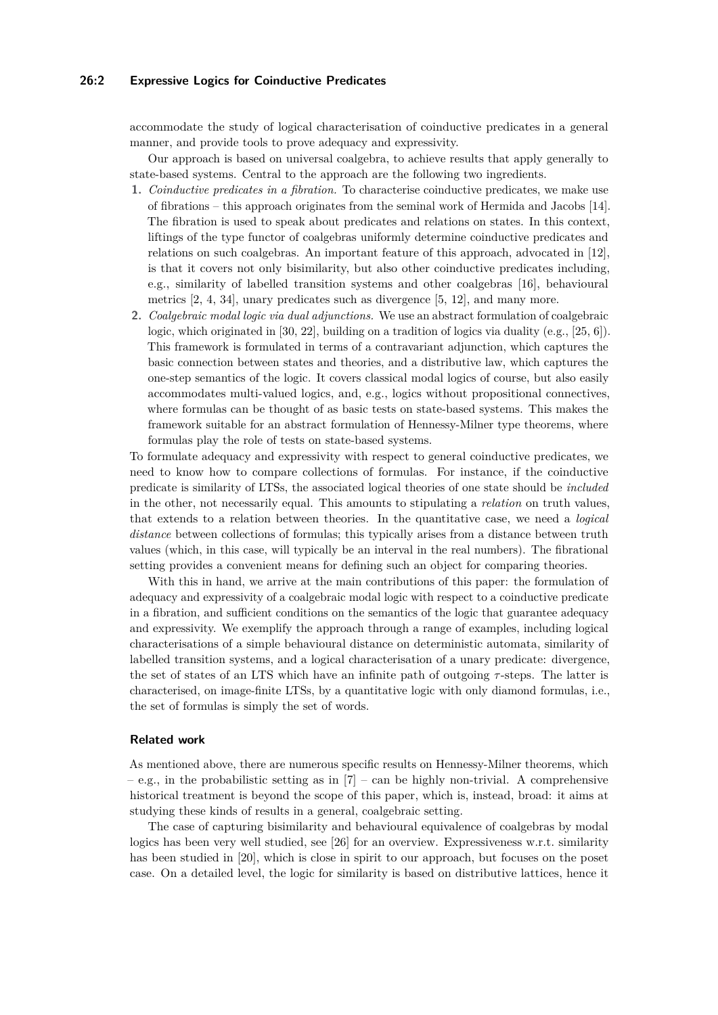# **26:2 Expressive Logics for Coinductive Predicates**

accommodate the study of logical characterisation of coinductive predicates in a general manner, and provide tools to prove adequacy and expressivity.

Our approach is based on universal coalgebra, to achieve results that apply generally to state-based systems. Central to the approach are the following two ingredients.

- **1.** *Coinductive predicates in a fibration.* To characterise coinductive predicates, we make use of fibrations – this approach originates from the seminal work of Hermida and Jacobs [\[14\]](#page-15-3). The fibration is used to speak about predicates and relations on states. In this context, liftings of the type functor of coalgebras uniformly determine coinductive predicates and relations on such coalgebras. An important feature of this approach, advocated in [\[12\]](#page-15-4), is that it covers not only bisimilarity, but also other coinductive predicates including, e.g., similarity of labelled transition systems and other coalgebras [\[16\]](#page-15-5), behavioural metrics [\[2,](#page-15-6) [4,](#page-15-7) [34\]](#page-16-9), unary predicates such as divergence [\[5,](#page-15-8) [12\]](#page-15-4), and many more.
- **2.** *Coalgebraic modal logic via dual adjunctions.* We use an abstract formulation of coalgebraic logic, which originated in [\[30,](#page-16-10) [22\]](#page-16-8), building on a tradition of logics via duality (e.g., [\[25,](#page-16-11) [6\]](#page-15-9)). This framework is formulated in terms of a contravariant adjunction, which captures the basic connection between states and theories, and a distributive law, which captures the one-step semantics of the logic. It covers classical modal logics of course, but also easily accommodates multi-valued logics, and, e.g., logics without propositional connectives, where formulas can be thought of as basic tests on state-based systems. This makes the framework suitable for an abstract formulation of Hennessy-Milner type theorems, where formulas play the role of tests on state-based systems.

To formulate adequacy and expressivity with respect to general coinductive predicates, we need to know how to compare collections of formulas. For instance, if the coinductive predicate is similarity of LTSs, the associated logical theories of one state should be *included* in the other, not necessarily equal. This amounts to stipulating a *relation* on truth values, that extends to a relation between theories. In the quantitative case, we need a *logical distance* between collections of formulas; this typically arises from a distance between truth values (which, in this case, will typically be an interval in the real numbers). The fibrational setting provides a convenient means for defining such an object for comparing theories.

With this in hand, we arrive at the main contributions of this paper: the formulation of adequacy and expressivity of a coalgebraic modal logic with respect to a coinductive predicate in a fibration, and sufficient conditions on the semantics of the logic that guarantee adequacy and expressivity. We exemplify the approach through a range of examples, including logical characterisations of a simple behavioural distance on deterministic automata, similarity of labelled transition systems, and a logical characterisation of a unary predicate: divergence, the set of states of an LTS which have an infinite path of outgoing *τ* -steps. The latter is characterised, on image-finite LTSs, by a quantitative logic with only diamond formulas, i.e., the set of formulas is simply the set of words.

### **Related work**

As mentioned above, there are numerous specific results on Hennessy-Milner theorems, which – e.g., in the probabilistic setting as in  $[7]$  – can be highly non-trivial. A comprehensive historical treatment is beyond the scope of this paper, which is, instead, broad: it aims at studying these kinds of results in a general, coalgebraic setting.

The case of capturing bisimilarity and behavioural equivalence of coalgebras by modal logics has been very well studied, see [\[26\]](#page-16-5) for an overview. Expressiveness w.r.t. similarity has been studied in [\[20\]](#page-16-12), which is close in spirit to our approach, but focuses on the poset case. On a detailed level, the logic for similarity is based on distributive lattices, hence it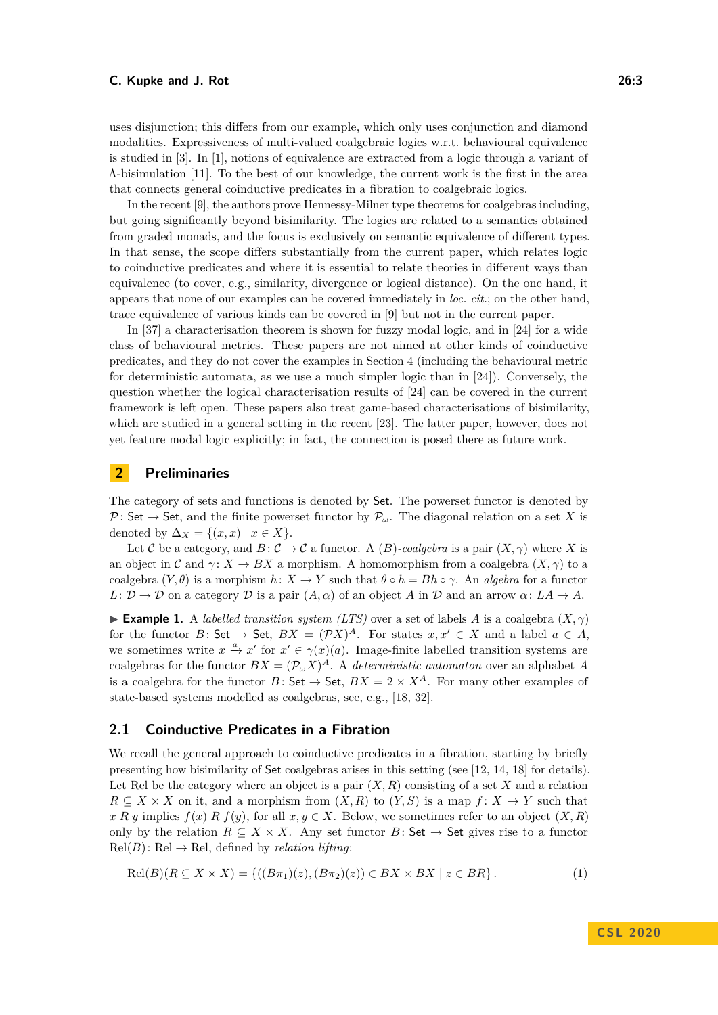uses disjunction; this differs from our example, which only uses conjunction and diamond modalities. Expressiveness of multi-valued coalgebraic logics w.r.t. behavioural equivalence is studied in [\[3\]](#page-15-10). In [\[1\]](#page-14-0), notions of equivalence are extracted from a logic through a variant of Λ-bisimulation [\[11\]](#page-15-11). To the best of our knowledge, the current work is the first in the area that connects general coinductive predicates in a fibration to coalgebraic logics.

In the recent [\[9\]](#page-15-12), the authors prove Hennessy-Milner type theorems for coalgebras including, but going significantly beyond bisimilarity. The logics are related to a semantics obtained from graded monads, and the focus is exclusively on semantic equivalence of different types. In that sense, the scope differs substantially from the current paper, which relates logic to coinductive predicates and where it is essential to relate theories in different ways than equivalence (to cover, e.g., similarity, divergence or logical distance). On the one hand, it appears that none of our examples can be covered immediately in *loc. cit.*; on the other hand, trace equivalence of various kinds can be covered in [\[9\]](#page-15-12) but not in the current paper.

In [\[37\]](#page-17-2) a characterisation theorem is shown for fuzzy modal logic, and in [\[24\]](#page-16-2) for a wide class of behavioural metrics. These papers are not aimed at other kinds of coinductive predicates, and they do not cover the examples in Section [4](#page-9-0) (including the behavioural metric for deterministic automata, as we use a much simpler logic than in [\[24\]](#page-16-2)). Conversely, the question whether the logical characterisation results of [\[24\]](#page-16-2) can be covered in the current framework is left open. These papers also treat game-based characterisations of bisimilarity, which are studied in a general setting in the recent [\[23\]](#page-16-13). The latter paper, however, does not yet feature modal logic explicitly; in fact, the connection is posed there as future work.

# **2 Preliminaries**

The category of sets and functions is denoted by Set. The powerset functor is denoted by P: Set  $\rightarrow$  Set, and the finite powerset functor by  $\mathcal{P}_{\omega}$ . The diagonal relation on a set X is denoted by  $\Delta_X = \{(x, x) \mid x \in X\}.$ 

Let C be a category, and  $B: \mathcal{C} \to \mathcal{C}$  a functor. A  $(B)$ *-coalgebra* is a pair  $(X, \gamma)$  where X is an object in C and  $\gamma: X \to BX$  a morphism. A homomorphism from a coalgebra  $(X, \gamma)$  to a coalgebra  $(Y, \theta)$  is a morphism  $h: X \to Y$  such that  $\theta \circ h = Bh \circ \gamma$ . An *algebra* for a functor  $L: \mathcal{D} \to \mathcal{D}$  on a category  $\mathcal{D}$  is a pair  $(A, \alpha)$  of an object A in  $\mathcal{D}$  and an arrow  $\alpha: LA \to A$ .

**Example 1.** A *labelled transition system (LTS)* over a set of labels *A* is a coalgebra  $(X, \gamma)$ for the functor *B*: Set  $\rightarrow$  Set,  $BX = (\mathcal{P}X)^A$ . For states  $x, x' \in X$  and a label  $a \in A$ , we sometimes write  $x \stackrel{a}{\to} x'$  for  $x' \in \gamma(x)(a)$ . Image-finite labelled transition systems are coalgebras for the functor  $BX = (\mathcal{P}_{\omega}X)^A$ . A *deterministic automaton* over an alphabet *A* is a coalgebra for the functor  $B:$  Set  $\rightarrow$  Set,  $BX = 2 \times X^A$ . For many other examples of state-based systems modelled as coalgebras, see, e.g., [\[18,](#page-16-4) [32\]](#page-16-3).

# <span id="page-2-0"></span>**2.1 Coinductive Predicates in a Fibration**

We recall the general approach to coinductive predicates in a fibration, starting by briefly presenting how bisimilarity of Set coalgebras arises in this setting (see [\[12,](#page-15-4) [14,](#page-15-3) [18\]](#page-16-4) for details). Let Rel be the category where an object is a pair  $(X, R)$  consisting of a set X and a relation  $R \subseteq X \times X$  on it, and a morphism from  $(X, R)$  to  $(Y, S)$  is a map  $f: X \to Y$  such that  $x R y$  implies  $f(x) R f(y)$ , for all  $x, y \in X$ . Below, we sometimes refer to an object  $(X, R)$ only by the relation  $R \subseteq X \times X$ . Any set functor  $B \colon \mathsf{Set} \to \mathsf{Set}$  gives rise to a functor  $Rel(B)$ : Rel  $\rightarrow$  Rel, defined by *relation lifting*:

$$
Rel(B)(R \subseteq X \times X) = \{((B\pi_1)(z), (B\pi_2)(z)) \in BX \times BX \mid z \in BR\}.
$$
 (1)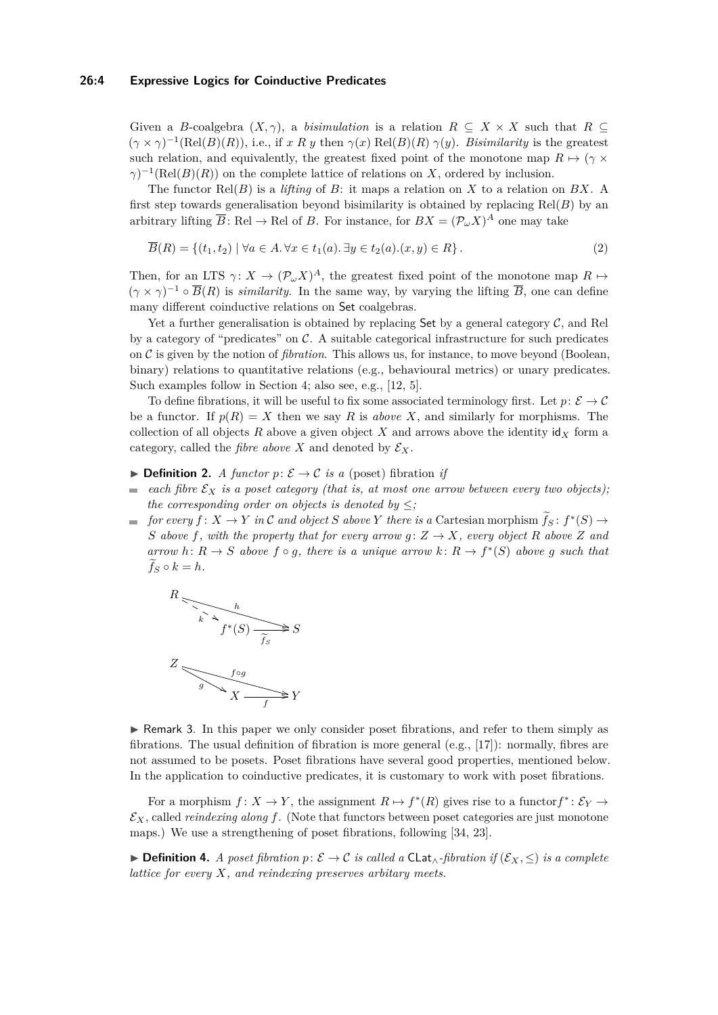### **26:4 Expressive Logics for Coinductive Predicates**

Given a *B*-coalgebra  $(X, \gamma)$ , a *bisimulation* is a relation  $R \subseteq X \times X$  such that  $R \subseteq$  $(\gamma \times \gamma)^{-1}(\text{Rel}(B)(R))$ , i.e., if *x R y* then  $\gamma(x)$  Rel(*B*)(*R*)  $\gamma(y)$ . *Bisimilarity* is the greatest such relation, and equivalently, the greatest fixed point of the monotone map  $R \mapsto (\gamma \times$  $\gamma$ <sup> $-1$ </sup>(Rel(*B*)(*R*)) on the complete lattice of relations on *X*, ordered by inclusion.

The functor Rel(*B*) is a *lifting* of *B*: it maps a relation on *X* to a relation on *BX*. A first step towards generalisation beyond bisimilarity is obtained by replacing Rel(*B*) by an arbitrary lifting  $\overline{B}$ : Rel  $\rightarrow$  Rel of *B*. For instance, for  $BX = (\mathcal{P}_{\omega}X)^A$  one may take

<span id="page-3-0"></span>
$$
\overline{B}(R) = \{(t_1, t_2) \mid \forall a \in A. \forall x \in t_1(a). \exists y \in t_2(a). (x, y) \in R\}.
$$
\n
$$
(2)
$$

Then, for an LTS  $\gamma: X \to (\mathcal{P}_{\omega} X)^A$ , the greatest fixed point of the monotone map  $R \mapsto$  $(\gamma \times \gamma)^{-1} \circ \overline{B}(R)$  is *similarity*. In the same way, by varying the lifting  $\overline{B}$ , one can define many different coinductive relations on Set coalgebras.

Yet a further generalisation is obtained by replacing Set by a general category  $C$ , and Rel by a category of "predicates" on  $\mathcal{C}$ . A suitable categorical infrastructure for such predicates on C is given by the notion of *fibration*. This allows us, for instance, to move beyond (Boolean, binary) relations to quantitative relations (e.g., behavioural metrics) or unary predicates. Such examples follow in Section [4;](#page-9-0) also see, e.g., [\[12,](#page-15-4) [5\]](#page-15-8).

To define fibrations, it will be useful to fix some associated terminology first. Let  $p: \mathcal{E} \to \mathcal{C}$ be a functor. If  $p(R) = X$  then we say R is *above* X, and similarly for morphisms. The collection of all objects  $R$  above a given object  $X$  and arrows above the identity  $\mathsf{id}_X$  form a category, called the *fibre above X* and denoted by  $\mathcal{E}_X$ .

- **▶ Definition 2.** *A functor p:*  $\mathcal{E} \rightarrow \mathcal{C}$  *is a* (poset) fibration *if*
- *each fibre*  $\mathcal{E}_X$  *is a poset category (that is, at most one arrow between every two objects)*;  $\blacksquare$ *the corresponding order on objects is denoted by*  $\leq$ *;*
- *for every*  $f: X \to Y$  *in* C *and object S above*  $Y$  *there is a* Cartesian morphism  $\tilde{f}_S: f^*(S) \to$ *S* above *f,* with the property that for every arrow  $g: Z \to X$ *, every object R above Z and arrow*  $h: R \to S$  *above*  $f \circ g$ *, there is a unique arrow*  $k: R \to f^*(S)$  *above g such that*  $f_S \circ k = h$ *.*



 $\triangleright$  Remark 3. In this paper we only consider poset fibrations, and refer to them simply as fibrations. The usual definition of fibration is more general (e.g., [\[17\]](#page-15-13)): normally, fibres are not assumed to be posets. Poset fibrations have several good properties, mentioned below. In the application to coinductive predicates, it is customary to work with poset fibrations.

For a morphism  $f: X \to Y$ , the assignment  $R \mapsto f^*(R)$  gives rise to a functor  $f^*: \mathcal{E}_Y \to$  $\mathcal{E}_X$ , called *reindexing along* f. (Note that functors between poset categories are just monotone maps.) We use a strengthening of poset fibrations, following [\[34,](#page-16-9) [23\]](#page-16-13).

**► Definition 4.** *A poset fibration*  $p: \mathcal{E} \to \mathcal{C}$  *is called a* CLat<sub>∧</sub>-fibration if  $(\mathcal{E}_X, \leq)$  *is a complete lattice for every X, and reindexing preserves arbitary meets.*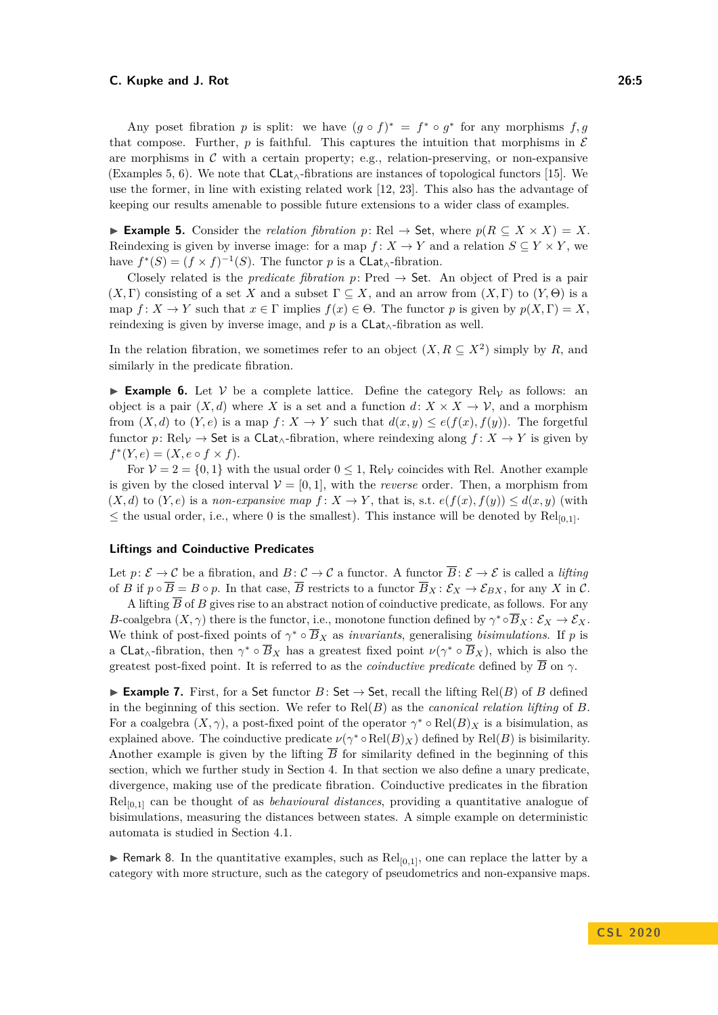Any poset fibration *p* is split: we have  $(g \circ f)^* = f^* \circ g^*$  for any morphisms  $f, g$ that compose. Further,  $p$  is faithful. This captures the intuition that morphisms in  $\mathcal E$ are morphisms in  $\mathcal C$  with a certain property; e.g., relation-preserving, or non-expansive (Examples [5,](#page-4-0) [6\)](#page-4-1). We note that  $Clat_{\wedge}$ -fibrations are instances of topological functors [\[15\]](#page-15-14). We use the former, in line with existing related work [\[12,](#page-15-4) [23\]](#page-16-13). This also has the advantage of keeping our results amenable to possible future extensions to a wider class of examples.

<span id="page-4-0"></span>**► Example 5.** Consider the *relation fibration*  $p: \text{Rel} \rightarrow \text{Set}$ , where  $p(R \subseteq X \times X) = X$ . Reindexing is given by inverse image: for a map  $f: X \to Y$  and a relation  $S \subseteq Y \times Y$ , we have  $f^*(S) = (f \times f)^{-1}(S)$ . The functor *p* is a CLat<sub>∧</sub>-fibration.

Closely related is the *predicate fibration*  $p:$  Pred  $\rightarrow$  Set. An object of Pred is a pair  $(X, \Gamma)$  consisting of a set X and a subset  $\Gamma \subseteq X$ , and an arrow from  $(X, \Gamma)$  to  $(Y, \Theta)$  is a map  $f: X \to Y$  such that  $x \in \Gamma$  implies  $f(x) \in \Theta$ . The functor p is given by  $p(X, \Gamma) = X$ , reindexing is given by inverse image, and *p* is a CLat∧-fibration as well.

In the relation fibration, we sometimes refer to an object  $(X, R \subseteq X^2)$  simply by R, and similarly in the predicate fibration.

<span id="page-4-1"></span>**Example 6.** Let V be a complete lattice. Define the category  $\text{Rel}_V$  as follows: an object is a pair  $(X, d)$  where X is a set and a function  $d: X \times X \to V$ , and a morphism from  $(X, d)$  to  $(Y, e)$  is a map  $f: X \to Y$  such that  $d(x, y) \leq e(f(x), f(y))$ . The forgetful functor *p*: Rel<sub>V</sub>  $\rightarrow$  Set is a CLat<sub>∧</sub>-fibration, where reindexing along  $f: X \rightarrow Y$  is given by  $f^*(Y, e) = (X, e \circ f \times f).$ 

For  $V = 2 = \{0, 1\}$  with the usual order  $0 \le 1$ , Rel<sub>V</sub> coincides with Rel. Another example is given by the closed interval  $V = [0, 1]$ , with the *reverse* order. Then, a morphism from  $(X, d)$  to  $(Y, e)$  is a *non-expansive map*  $f: X \to Y$ , that is, s.t.  $e(f(x), f(y)) \leq d(x, y)$  (with  $\leq$  the usual order, i.e., where 0 is the smallest). This instance will be denoted by Rel<sub>[0,1]</sub>.

### **Liftings and Coinductive Predicates**

Let  $p: \mathcal{E} \to \mathcal{C}$  be a fibration, and  $B: \mathcal{C} \to \mathcal{C}$  a functor. A functor  $\overline{B}: \mathcal{E} \to \mathcal{E}$  is called a *lifting* of *B* if  $p \circ \overline{B} = B \circ p$ . In that case,  $\overline{B}$  restricts to a functor  $\overline{B}_X : \mathcal{E}_X \to \mathcal{E}_{BX}$ , for any *X* in *C*.

A lifting  $\overline{B}$  of *B* gives rise to an abstract notion of coinductive predicate, as follows. For any *B*-coalgebra  $(X, \gamma)$  there is the functor, i.e., monotone function defined by  $\gamma^* \circ \overline{B}_X : \mathcal{E}_X \to \mathcal{E}_X$ . We think of post-fixed points of  $\gamma^* \circ \overline{B}_X$  as *invariants*, generalising *bisimulations*. If *p* is a CLat<sub>∧</sub>-fibration, then  $\gamma^* \circ \overline{B}_X$  has a greatest fixed point  $\nu(\gamma^* \circ \overline{B}_X)$ , which is also the greatest post-fixed point. It is referred to as the *coinductive predicate* defined by  $\overline{B}$  on  $\gamma$ .

**► Example 7.** First, for a Set functor  $B:$  Set  $\rightarrow$  Set, recall the lifting Rel(*B*) of *B* defined in the beginning of this section. We refer to Rel(*B*) as the *canonical relation lifting* of *B*. For a coalgebra  $(X, \gamma)$ , a post-fixed point of the operator  $\gamma^* \circ Rel(B)_X$  is a bisimulation, as explained above. The coinductive predicate  $\nu(\gamma^* \circ Rel(B)_X)$  defined by Rel(*B*) is bisimilarity. Another example is given by the lifting  $\overline{B}$  for similarity defined in the beginning of this section, which we further study in Section [4.](#page-9-0) In that section we also define a unary predicate, divergence, making use of the predicate fibration. Coinductive predicates in the fibration Rel[0*,*1] can be thought of as *behavioural distances*, providing a quantitative analogue of bisimulations, measuring the distances between states. A simple example on deterministic automata is studied in Section [4.1.](#page-10-0)

**F** Remark 8. In the quantitative examples, such as  $\text{Rel}_{[0,1]}$ , one can replace the latter by a category with more structure, such as the category of pseudometrics and non-expansive maps.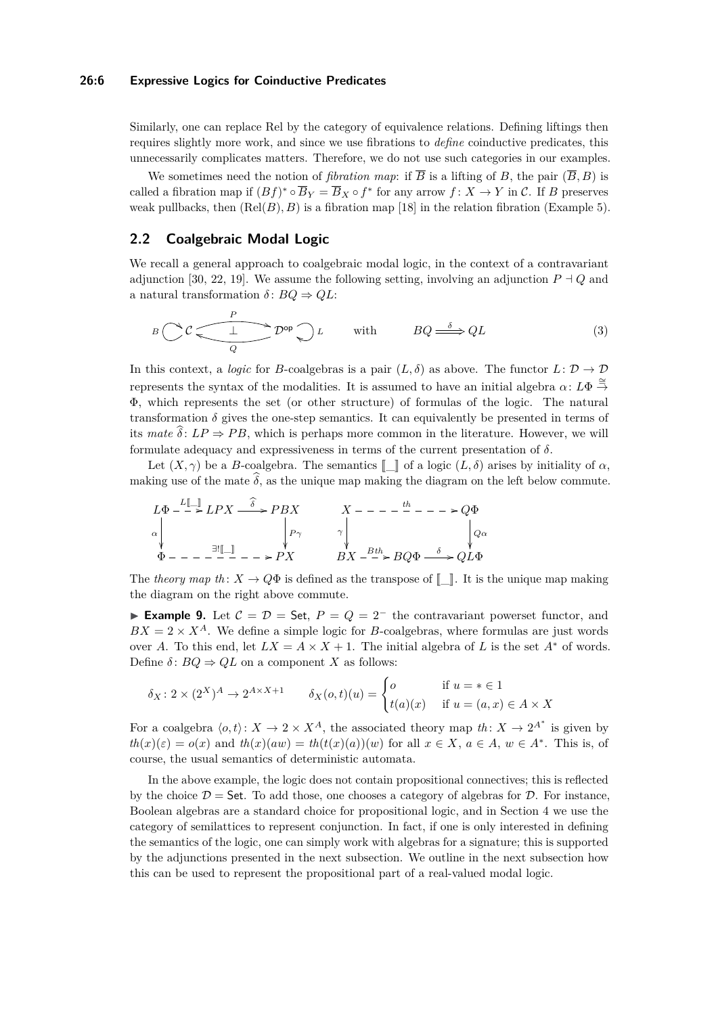### **26:6 Expressive Logics for Coinductive Predicates**

Similarly, one can replace Rel by the category of equivalence relations. Defining liftings then requires slightly more work, and since we use fibrations to *define* coinductive predicates, this unnecessarily complicates matters. Therefore, we do not use such categories in our examples.

We sometimes need the notion of *fibration map*: if  $\overline{B}$  is a lifting of *B*, the pair  $(\overline{B}, B)$  is called a fibration map if  $(Bf)^* \circ \overline{B}_Y = \overline{B}_X \circ f^*$  for any arrow  $f: X \to Y$  in C. If *B* preserves weak pullbacks, then  $(\text{Rel}(B), B)$  is a fibration map [\[18\]](#page-16-4) in the relation fibration (Example [5\)](#page-4-0).

# <span id="page-5-0"></span>**2.2 Coalgebraic Modal Logic**

We recall a general approach to coalgebraic modal logic, in the context of a contravariant adjunction [\[30,](#page-16-10) [22,](#page-16-8) [19\]](#page-16-1). We assume the following setting, involving an adjunction  $P \dashv Q$  and a natural transformation  $\delta$ :  $BQ \Rightarrow QL$ :

$$
B\left(\bigcup_{Q} C\left(\frac{P}{\underbrace{\qquad \qquad } } D^{op}\right) L\right) \qquad \text{with} \qquad BQ \stackrel{\delta}{\Longrightarrow} QL\tag{3}
$$

In this context, a *logic* for *B*-coalgebras is a pair  $(L, \delta)$  as above. The functor  $L: \mathcal{D} \to \mathcal{D}$ represents the syntax of the modalities. It is assumed to have an initial algebra  $\alpha: L\Phi \stackrel{\cong}{\to}$ Φ, which represents the set (or other structure) of formulas of the logic. The natural transformation  $\delta$  gives the one-step semantics. It can equivalently be presented in terms of its *mate*  $\delta$ :  $LP \Rightarrow PB$ , which is perhaps more common in the literature. However, we will formulate adequacy and expressiveness in terms of the current presentation of *δ*.

Let  $(X, \gamma)$  be a *B*-coalgebra. The semantics  $\llbracket \ \ \ \vert$  of a logic  $(L, \delta)$  arises by initiality of  $\alpha$ , making use of the mate  $\delta$ , as the unique map making the diagram on the left below commute.

$$
L\Phi \xrightarrow{L[\_\_\right\} LPX \xrightarrow{\delta} PBX
$$
\n
$$
\alpha \downarrow \qquad \qquad \gamma \downarrow \qquad \qquad \gamma
$$
\n
$$
\Phi \xrightarrow{\exists ![\_\_\right\} \qquad \qquad \gamma \downarrow \qquad \qquad \gamma
$$
\n
$$
\Phi \xrightarrow{\exists ![\_\_\right\} \qquad \qquad \gamma \downarrow \qquad \qquad \gamma
$$
\n
$$
\Phi \xrightarrow{\exists ![\_\_\right\} \qquad \qquad \gamma \downarrow \qquad \qquad \gamma
$$
\n
$$
BX \xrightarrow{Bth} BQ\Phi \xrightarrow{\delta} QL\Phi
$$

The *theory map*  $th: X \to Q\Phi$  is defined as the transpose of  $\llbracket \cdot \rrbracket$ . It is the unique map making the diagram on the right above commute.

<span id="page-5-1"></span>**Example 9.** Let  $C = D =$  Set,  $P = Q = 2^-$  the contravariant powerset functor, and  $BX = 2 \times X^A$ . We define a simple logic for *B*-coalgebras, where formulas are just words over *A*. To this end, let  $LX = A \times X + 1$ . The initial algebra of *L* is the set  $A^*$  of words. Define  $\delta$ :  $BQ \Rightarrow QL$  on a component *X* as follows:

$$
\delta_X \colon 2 \times (2^X)^A \to 2^{A \times X + 1} \qquad \delta_X(o, t)(u) = \begin{cases} o & \text{if } u = * \in 1 \\ t(a)(x) & \text{if } u = (a, x) \in A \times X \end{cases}
$$

For a coalgebra  $\langle o, t \rangle: X \to 2 \times X^A$ , the associated theory map *th*:  $X \to 2^{A^*}$  is given by  $th(x)(\varepsilon) = o(x)$  and  $th(x)(aw) = th(t(x)(a))(w)$  for all  $x \in X$ ,  $a \in A$ ,  $w \in A^*$ . This is, of course, the usual semantics of deterministic automata.

In the above example, the logic does not contain propositional connectives; this is reflected by the choice  $\mathcal{D} =$  Set. To add those, one chooses a category of algebras for  $\mathcal{D}$ . For instance, Boolean algebras are a standard choice for propositional logic, and in Section [4](#page-9-0) we use the category of semilattices to represent conjunction. In fact, if one is only interested in defining the semantics of the logic, one can simply work with algebras for a signature; this is supported by the adjunctions presented in the next subsection. We outline in the next subsection how this can be used to represent the propositional part of a real-valued modal logic.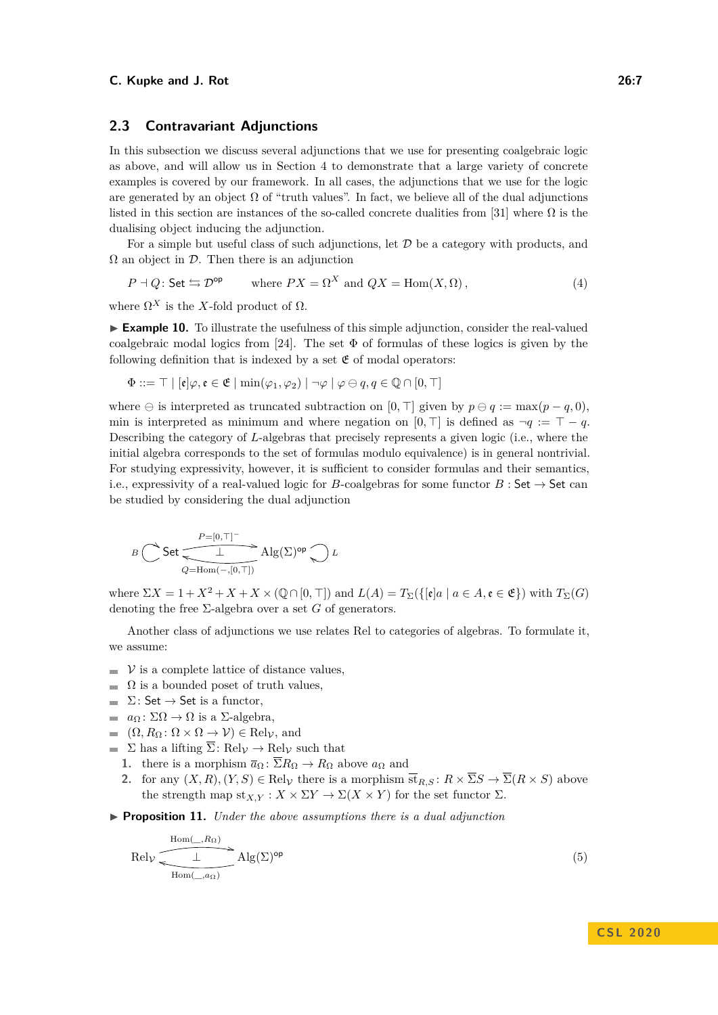# **2.3 Contravariant Adjunctions**

In this subsection we discuss several adjunctions that we use for presenting coalgebraic logic as above, and will allow us in Section [4](#page-9-0) to demonstrate that a large variety of concrete examples is covered by our framework. In all cases, the adjunctions that we use for the logic are generated by an object  $\Omega$  of "truth values". In fact, we believe all of the dual adjunctions listed in this section are instances of the so-called concrete dualities from [\[31\]](#page-16-14) where  $\Omega$  is the dualising object inducing the adjunction.

For a simple but useful class of such adjunctions, let  $D$  be a category with products, and  $\Omega$  an object in  $\mathcal D$ . Then there is an adjunction

<span id="page-6-1"></span>
$$
P \dashv Q
$$
: Set  $\hookrightarrow \mathcal{D}^{\text{op}}$  where  $PX = \Omega^X$  and  $QX = \text{Hom}(X, \Omega)$ , (4)

where  $\Omega^X$  is the *X*-fold product of  $\Omega$ .

► **Example 10.** To illustrate the usefulness of this simple adjunction, consider the real-valued coalgebraic modal logics from [\[24\]](#page-16-2). The set  $\Phi$  of formulas of these logics is given by the following definition that is indexed by a set  $\mathfrak E$  of modal operators:

$$
\Phi ::= \top | [\mathfrak{e}] \varphi, \mathfrak{e} \in \mathfrak{E} | \min(\varphi_1, \varphi_2) | \neg \varphi | \varphi \ominus q, q \in \mathbb{Q} \cap [0, \top]
$$

where  $\ominus$  is interpreted as truncated subtraction on [0,  $\top$ ] given by  $p \ominus q := \max(p - q, 0)$ , min is interpreted as minimum and where negation on [0,  $\top$ ] is defined as  $\neg q := \top - q$ . Describing the category of *L*-algebras that precisely represents a given logic (i.e., where the initial algebra corresponds to the set of formulas modulo equivalence) is in general nontrivial. For studying expressivity, however, it is sufficient to consider formulas and their semantics, i.e., expressivity of a real-valued logic for *B*-coalgebras for some functor  $B:$  Set  $\rightarrow$  Set can be studied by considering the dual adjunction

$$
B\overbrace{\bigcirc\limits Q=\mathrm{Hom}(-,[0,T])}^{P=[0,T]^{-}}\mathrm{Alg}(\Sigma)^{\mathrm{op}}\overbrace{\bigcirc\limits L}
$$

where  $\Sigma X = 1 + X^2 + X + X \times (\mathbb{Q} \cap [0, \top])$  and  $L(A) = T_{\Sigma}(\{[\mathfrak{e}]a \mid a \in A, \mathfrak{e} \in \mathfrak{E}\})$  with  $T_{\Sigma}(G)$ denoting the free  $\Sigma$ -algebra over a set *G* of generators.

Another class of adjunctions we use relates Rel to categories of algebras. To formulate it, we assume:

- $\triangleright$   $\triangleright$  is a complete lattice of distance values,
- $\blacksquare$  Ω is a bounded poset of truth values,
- $\Sigma$ : Set  $\rightarrow$  Set is a functor,
- $\blacksquare$  *a*<sub> $\Omega$ </sub> :  $\Sigma\Omega \rightarrow \Omega$  is a Σ-algebra,
- $(Ω, RΩ : Ω × Ω → V) ∈ Rel<sub>V</sub>$ , and
- $\blacksquare$  Σ has a lifting  $\overline{\Sigma}$ : Rel<sub>V</sub>  $\rightarrow$  Rel<sub>V</sub> such that
	- **1.** there is a morphism  $\overline{a}_{\Omega} : \overline{\Sigma} R_{\Omega} \to R_{\Omega}$  above  $a_{\Omega}$  and
	- **2.** for any  $(X, R), (Y, S) \in \text{Rel}_V$  there is a morphism  $\overline{\text{st}}_{R,S}: R \times \overline{\Sigma}S \to \overline{\Sigma}(R \times S)$  above the strength map  $\text{st}_{X,Y}: X \times \Sigma Y \to \Sigma(X \times Y)$  for the set functor  $\Sigma$ .
- <span id="page-6-2"></span>▶ **Proposition 11.** *Under the above assumptions there is a dual adjunction*

<span id="page-6-0"></span>
$$
\text{Rel}_{\mathcal{V}} \xrightarrow{\text{Hom}(\_,R_{\Omega})} \text{Alg}(\Sigma)^{\text{op}}
$$
\n
$$
\text{Hom}(\_,a_{\Omega})
$$
\n(5)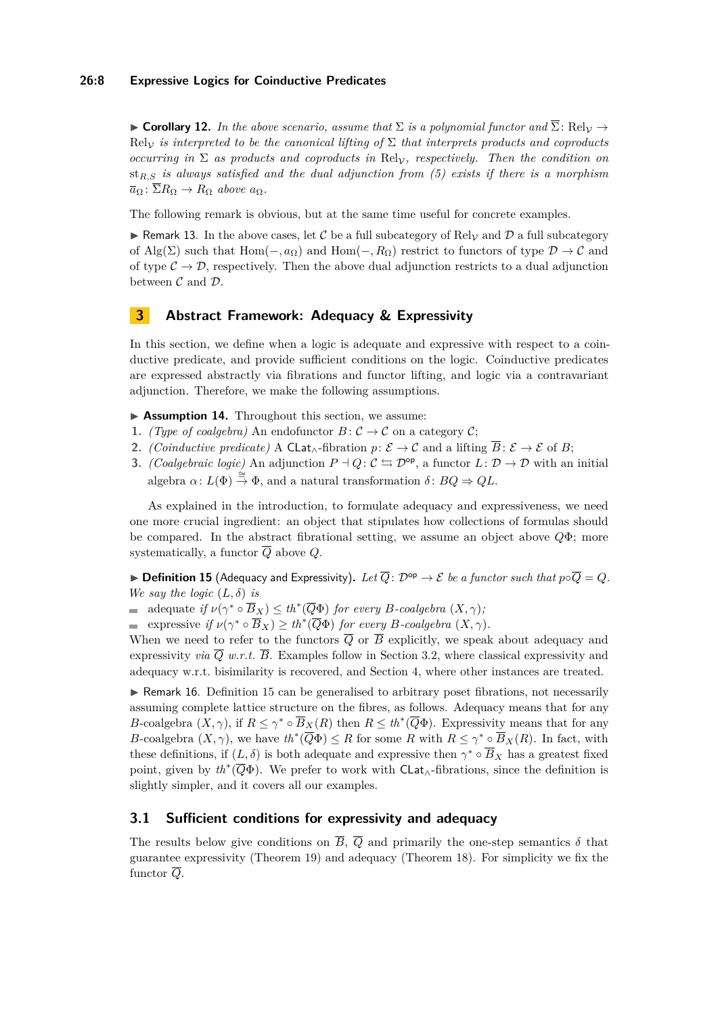### **26:8 Expressive Logics for Coinductive Predicates**

**► Corollary 12.** In the above scenario, assume that  $\Sigma$  is a polynomial functor and  $\overline{\Sigma}$ : Rel<sub>V</sub>  $\rightarrow$ Rel<sub>V</sub> *is interpreted to be the canonical lifting of*  $\Sigma$  *that interprets products and coproducts occurring in*  $\Sigma$  *as products and coproducts in* Rel<sub>V</sub>, *respectively. Then the condition on* st*R,S is always satisfied and the dual adjunction from [\(5\)](#page-6-0) exists if there is a morphism*  $\overline{a}_{\Omega}$ :  $\overline{\Sigma}R_{\Omega} \rightarrow R_{\Omega}$  *above*  $a_{\Omega}$ *.* 

The following remark is obvious, but at the same time useful for concrete examples.

<span id="page-7-1"></span>Remark 13. In the above cases, let C be a full subcategory of Rel<sub>V</sub> and D a full subcategory of Alg( $\Sigma$ ) such that Hom( $-, a_{\Omega}$ ) and Hom( $-, R_{\Omega}$ ) restrict to functors of type  $\mathcal{D} \to \mathcal{C}$  and of type  $\mathcal{C} \to \mathcal{D}$ , respectively. Then the above dual adjunction restricts to a dual adjunction between  $C$  and  $D$ .

# **3 Abstract Framework: Adequacy & Expressivity**

In this section, we define when a logic is adequate and expressive with respect to a coinductive predicate, and provide sufficient conditions on the logic. Coinductive predicates are expressed abstractly via fibrations and functor lifting, and logic via a contravariant adjunction. Therefore, we make the following assumptions.

▶ Assumption 14. Throughout this section, we assume:

- **1.** *(Type of coalgebra)* An endofunctor  $B: \mathcal{C} \to \mathcal{C}$  on a category  $\mathcal{C}$ ;
- **2.** *(Coinductive predicate)* A CLat<sub>∧</sub>-fibration  $p: \mathcal{E} \to \mathcal{C}$  and a lifting  $\overline{B}: \mathcal{E} \to \mathcal{E}$  of B;
- **3.** *(Coalgebraic logic)* An adjunction  $P \dashv Q$ :  $C \leftrightarrows \mathcal{D}^{\text{op}}$ , a functor  $L: \mathcal{D} \to \mathcal{D}$  with an initial algebra  $\alpha: L(\Phi) \stackrel{\cong}{\to} \Phi$ , and a natural transformation  $\delta: BQ \to QL$ .

As explained in the introduction, to formulate adequacy and expressiveness, we need one more crucial ingredient: an object that stipulates how collections of formulas should be compared. In the abstract fibrational setting, we assume an object above *Q*Φ; more systematically, a functor  $\overline{Q}$  above  $Q$ .

<span id="page-7-0"></span>▶ **Definition 15** (Adequacy and Expressivity). Let  $\overline{Q}$ :  $\mathcal{D}^{op} \to \mathcal{E}$  be a functor such that  $p \circ \overline{Q} = Q$ . *We say the logic*  $(L, \delta)$  *is* 

adequate *if*  $\nu(\gamma^* \circ \overline{B}_X) \le th^*(\overline{Q}\Phi)$  *for every B*-coalgebra  $(X, \gamma)$ *;* 

expressive *if*  $\nu(\gamma^* \circ \overline{B}_X) \ge th^*(\overline{Q}\Phi)$  *for every B-coalgebra*  $(X, \gamma)$ *.* 

When we need to refer to the functors  $\overline{Q}$  or  $\overline{B}$  explicitly, we speak about adequacy and expressivity *via*  $\overline{Q}$  *w.r.t.*  $\overline{B}$ . Examples follow in Section [3.2,](#page-9-1) where classical expressivity and adequacy w.r.t. bisimilarity is recovered, and Section [4,](#page-9-0) where other instances are treated.

 $\triangleright$  Remark 16. Definition [15](#page-7-0) can be generalised to arbitrary poset fibrations, not necessarily assuming complete lattice structure on the fibres, as follows. Adequacy means that for any *B*-coalgebra  $(X, \gamma)$ , if  $R \leq \gamma^* \circ \overline{B}_X(R)$  then  $R \leq th^*(\overline{Q}\Phi)$ . Expressivity means that for any *B*-coalgebra  $(X, \gamma)$ , we have  $th^*(\overline{Q}\Phi) \leq R$  for some *R* with  $R \leq \gamma^* \circ \overline{B}_X(R)$ . In fact, with these definitions, if  $(L, \delta)$  is both adequate and expressive then  $\gamma^* \circ \overline{B}_X$  has a greatest fixed point, given by *th*<sup>∗</sup> (*Q*Φ). We prefer to work with CLat∧-fibrations, since the definition is slightly simpler, and it covers all our examples.

# **3.1 Sufficient conditions for expressivity and adequacy**

The results below give conditions on  $\overline{B}$ ,  $\overline{Q}$  and primarily the one-step semantics  $\delta$  that guarantee expressivity (Theorem [19\)](#page-8-0) and adequacy (Theorem [18\)](#page-8-1). For simplicity we fix the functor  $\overline{Q}$ .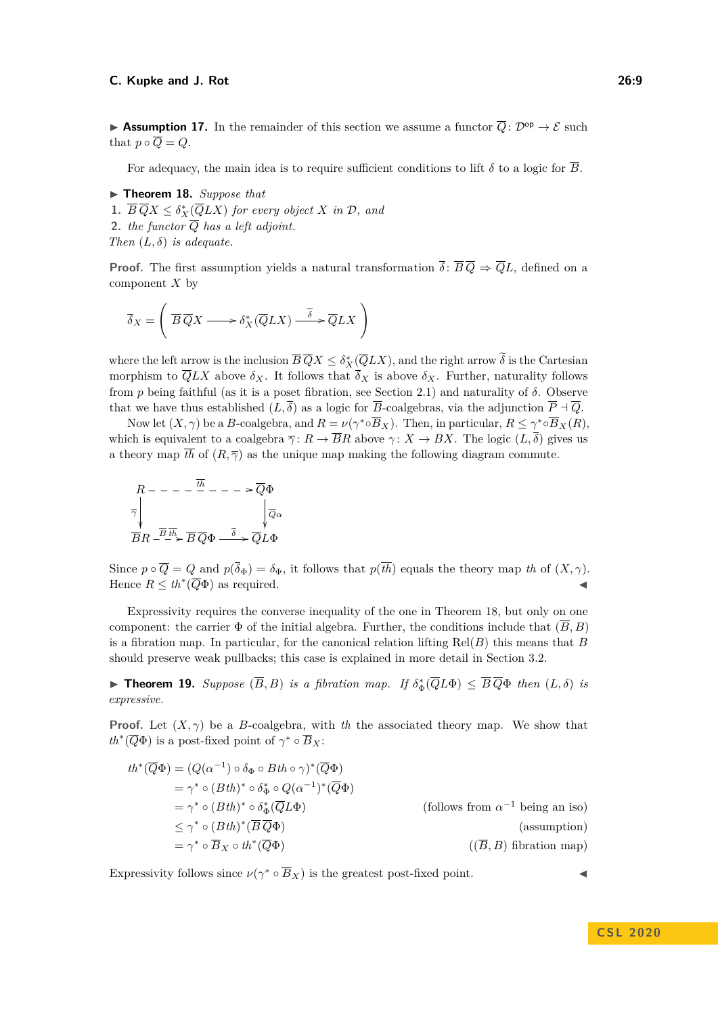**Assumption 17.** In the remainder of this section we assume a functor  $\overline{Q}$ :  $\mathcal{D}^{op} \to \mathcal{E}$  such that  $p \circ \overline{Q} = Q$ .

For adequacy, the main idea is to require sufficient conditions to lift  $\delta$  to a logic for  $\overline{B}$ .

<span id="page-8-1"></span>▶ **Theorem 18.** *Suppose that* 

**1.**  $\overline{B} \, \overline{Q} X \leq \delta_X^*(\overline{Q} LX)$  *for every object X in*  $\mathcal{D}$ *, and* **2.** *the functor Q has a left adjoint. Then*  $(L, \delta)$  *is adequate.* 

**Proof.** The first assumption yields a natural transformation  $\overline{\delta}$ :  $\overline{B}\overline{Q} \Rightarrow \overline{Q}L$ , defined on a component *X* by

$$
\overline{\delta}_X = \left( \overline{B} \, \overline{Q} X \longrightarrow \delta_X^* (\overline{Q} L X) \stackrel{\widetilde{\delta}}{\longrightarrow} \overline{Q} L X \right)
$$

where the left arrow is the inclusion  $\overline{B}\,\overline{Q}X \leq \delta_X^*(\overline{Q} LX)$ , and the right arrow  $\delta$  is the Cartesian morphism to  $\overline{Q} LX$  above  $\delta_X$ . It follows that  $\overline{\delta}_X$  is above  $\delta_X$ . Further, naturality follows from *p* being faithful (as it is a poset fibration, see Section [2.1\)](#page-2-0) and naturality of *δ*. Observe that we have thus established  $(L, \overline{\delta})$  as a logic for  $\overline{B}$ -coalgebras, via the adjunction  $\overline{P} \dashv \overline{Q}$ .

Now let  $(X, \gamma)$  be a *B*-coalgebra, and  $R = \nu(\gamma^* \circ \overline{B}_X)$ . Then, in particular,  $R \leq \gamma^* \circ \overline{B}_X(R)$ , which is equivalent to a coalgebra  $\overline{\gamma}$ :  $R \to \overline{B}R$  above  $\gamma$ :  $X \to BX$ . The logic  $(L, \overline{\delta})$  gives us a theory map  $\overline{th}$  of  $(R, \overline{\gamma})$  as the unique map making the following diagram commute.

$$
R --- - \frac{\overline{t}\overline{h}}{\overline{\gamma}} --- \frac{\overline{Q}\Phi}{\overline{Q}\alpha}
$$

$$
\frac{1}{\overline{B}R - \frac{\overline{B}}{\overline{t}}\overline{h}} \frac{1}{\overline{B}Q\Phi} \xrightarrow{\overline{\delta}} \frac{1}{\overline{Q}L\Phi}
$$

Since  $p \circ \overline{Q} = Q$  and  $p(\overline{\delta}_{\Phi}) = \delta_{\Phi}$ , it follows that  $p(\overline{th})$  equals the theory map *th* of  $(X, \gamma)$ . Hence  $R \leq th^*(\overline{Q}\Phi)$  as required.

Expressivity requires the converse inequality of the one in Theorem [18,](#page-8-1) but only on one component: the carrier  $\Phi$  of the initial algebra. Further, the conditions include that  $(\overline{B}, B)$ is a fibration map. In particular, for the canonical relation lifting  $\text{Rel}(B)$  this means that *B* should preserve weak pullbacks; this case is explained in more detail in Section [3.2.](#page-9-1)

<span id="page-8-0"></span>► **Theorem 19.** Suppose  $(\overline{B}, B)$  is a fibration map. If  $\delta_{\Phi}^*(\overline{Q}L\Phi) \leq \overline{B}\,\overline{Q}\Phi$  then  $(L, \delta)$  is *expressive.*

**Proof.** Let  $(X, \gamma)$  be a *B*-coalgebra, with *th* the associated theory map. We show that  $th^*(\overline{Q}\Phi)$  is a post-fixed point of  $\gamma^* \circ \overline{B}_X$ :

$$
th^*(\overline{Q}\Phi) = (Q(\alpha^{-1}) \circ \delta_{\Phi} \circ Bth \circ \gamma)^*(\overline{Q}\Phi)
$$
  
\n
$$
= \gamma^* \circ (Bth)^* \circ \delta_{\Phi}^* \circ Q(\alpha^{-1})^*(\overline{Q}\Phi)
$$
  
\n
$$
= \gamma^* \circ (Bth)^* \circ \delta_{\Phi}^*(\overline{Q}L\Phi)
$$
  
\n
$$
\leq \gamma^* \circ (Bth)^*(\overline{B}\overline{Q}\Phi)
$$
  
\n
$$
= \gamma^* \circ \overline{B}_X \circ th^*(\overline{Q}\Phi)
$$
  
\n(ssumption)  
\n
$$
= \gamma^* \circ \overline{B}_X \circ th^*(\overline{Q}\Phi)
$$
  
\n(ssumption)  
\n
$$
((\overline{B}, B) \text{ fibration map})
$$

Expressivity follows since  $\nu(\gamma^* \circ \overline{B}_X)$  is the greatest post-fixed point.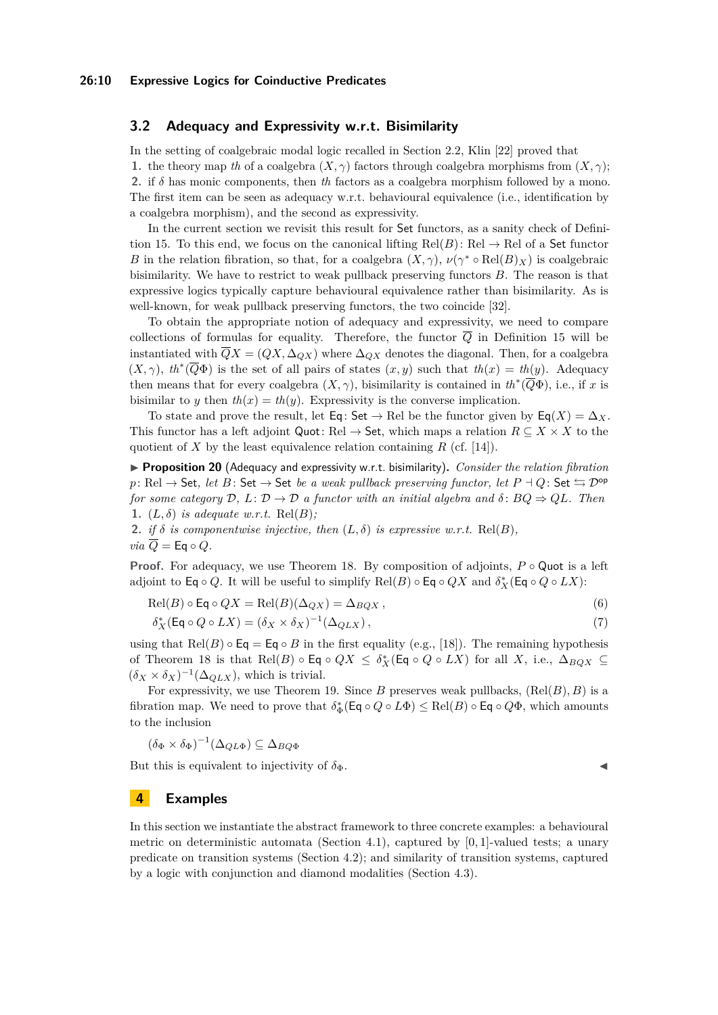### <span id="page-9-1"></span>**3.2 Adequacy and Expressivity w.r.t. Bisimilarity**

In the setting of coalgebraic modal logic recalled in Section [2.2,](#page-5-0) Klin [\[22\]](#page-16-8) proved that **1.** the theory map *th* of a coalgebra  $(X, \gamma)$  factors through coalgebra morphisms from  $(X, \gamma)$ ; **2.** if *δ* has monic components, then *th* factors as a coalgebra morphism followed by a mono. The first item can be seen as adequacy w.r.t. behavioural equivalence (i.e., identification by a coalgebra morphism), and the second as expressivity.

In the current section we revisit this result for Set functors, as a sanity check of Defini-tion [15.](#page-7-0) To this end, we focus on the canonical lifting  $Rel(B)$ : Rel  $\rightarrow$  Rel of a Set functor *B* in the relation fibration, so that, for a coalgebra  $(X, \gamma)$ ,  $\nu(\gamma^* \circ Rel(B)_X)$  is coalgebraic bisimilarity. We have to restrict to weak pullback preserving functors *B*. The reason is that expressive logics typically capture behavioural equivalence rather than bisimilarity. As is well-known, for weak pullback preserving functors, the two coincide [\[32\]](#page-16-3).

To obtain the appropriate notion of adequacy and expressivity, we need to compare collections of formulas for equality. Therefore, the functor  $\overline{Q}$  in Definition [15](#page-7-0) will be instantiated with  $\overline{Q}X = (QX, \Delta_{OX})$  where  $\Delta_{OX}$  denotes the diagonal. Then, for a coalgebra  $(X, \gamma)$ ,  $th^*(\overline{Q}\Phi)$  is the set of all pairs of states  $(x, y)$  such that  $th(x) = th(y)$ . Adequacy then means that for every coalgebra  $(X, \gamma)$ , bisimilarity is contained in  $th^*(\overline{Q}\Phi)$ , i.e., if *x* is bisimilar to *y* then  $th(x) = th(y)$ . Expressivity is the converse implication.

To state and prove the result, let Eq: Set  $\rightarrow$  Rel be the functor given by Eq(*X*) =  $\Delta_X$ . This functor has a left adjoint Quot: Rel  $\rightarrow$  Set, which maps a relation  $R \subseteq X \times X$  to the quotient of *X* by the least equivalence relation containing  $R$  (cf. [\[14\]](#page-15-3)).

I **Proposition 20** (Adequacy and expressivity w.r.t. bisimilarity)**.** *Consider the relation fibration p*: Rel  $\rightarrow$  Set, let *B* : Set  $\rightarrow$  Set *be a weak pullback preserving functor, let*  $P \dashv Q$ : Set  $\leftrightarrows \mathcal{D}^{\text{op}}$ *for some category*  $D$ ,  $L: D \to D$  *a functor with an initial algebra and*  $\delta: BQ \Rightarrow QL$ *. Then* **1.**  $(L, \delta)$  *is adequate w.r.t.* Rel $(B)$ *;* 

**2.** *if*  $\delta$  *is componentwise injective, then*  $(L, \delta)$  *is expressive w.r.t.* Rel $(B)$ *, via*  $\overline{Q}$  = Eq  $\circ$  *Q.* 

**Proof.** For adequacy, we use Theorem [18.](#page-8-1) By composition of adjoints, *P* ◦ Quot is a left adjoint to Eq ∘ *Q*. It will be useful to simplify  $\text{Rel}(B) \circ \text{Eq} \circ QX$  and  $\delta_X^*(\text{Eq} \circ Q \circ LX)$ :

$$
Rel(B) \circ Eq \circ QX = Rel(B)(\Delta_{QX}) = \Delta_{BQX},
$$
\n(6)

$$
\delta_X^*(\mathsf{Eq} \circ Q \circ LX) = (\delta_X \times \delta_X)^{-1}(\Delta_{QLX}),\tag{7}
$$

using that  $Rel(B) \circ Eq = Eq \circ B$  in the first equality (e.g., [\[18\]](#page-16-4)). The remaining hypothesis of Theorem [18](#page-8-1) is that  $\text{Rel}(B) \circ \textsf{Eq} \circ QX \leq \delta_X^*(\textsf{Eq} \circ Q \circ LX)$  for all X, i.e.,  $\Delta_{BQX} \subseteq$  $(\delta_X \times \delta_X)^{-1}(\Delta_{QLX})$ , which is trivial.

For expressivity, we use Theorem [19.](#page-8-0) Since  $B$  preserves weak pullbacks,  $(\text{Rel}(B), B)$  is a fibration map. We need to prove that  $\delta_{\Phi}^*(\textsf{Eq} \circ Q \circ L\Phi) \le \text{Rel}(B) \circ \textsf{Eq} \circ Q\Phi$ , which amounts to the inclusion

$$
(\delta_{\Phi} \times \delta_{\Phi})^{-1}(\Delta_{QL\Phi}) \subseteq \Delta_{BQ\Phi}
$$

But this is equivalent to injectivity of  $\delta_{\Phi}$ .

# <span id="page-9-0"></span>**4 Examples**

In this section we instantiate the abstract framework to three concrete examples: a behavioural metric on deterministic automata (Section [4.1\)](#page-10-0), captured by [0*,* 1]-valued tests; a unary predicate on transition systems (Section [4.2\)](#page-11-0); and similarity of transition systems, captured by a logic with conjunction and diamond modalities (Section [4.3\)](#page-12-0).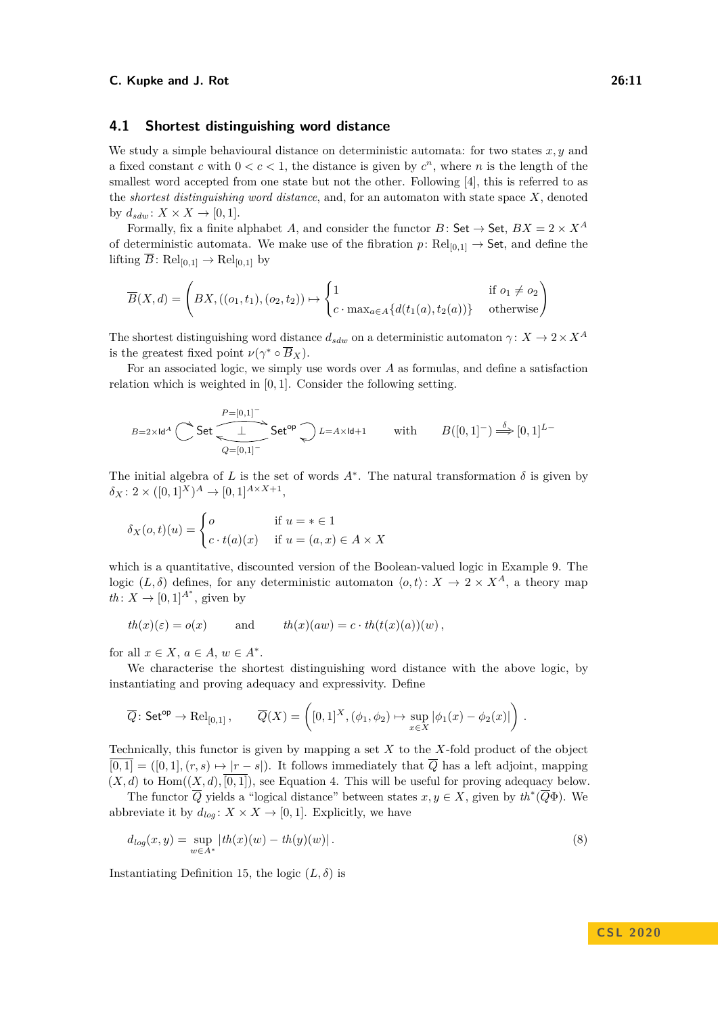### <span id="page-10-0"></span>**4.1 Shortest distinguishing word distance**

We study a simple behavioural distance on deterministic automata: for two states *x, y* and a fixed constant *c* with  $0 < c < 1$ , the distance is given by  $c^n$ , where *n* is the length of the smallest word accepted from one state but not the other. Following [\[4\]](#page-15-7), this is referred to as the *shortest distinguishing word distance*, and, for an automaton with state space *X*, denoted by  $d_{sdw}$ :  $X \times X \rightarrow [0, 1]$ .

Formally, fix a finite alphabet *A*, and consider the functor *B* : Set  $\rightarrow$  Set,  $BX = 2 \times X^A$ of deterministic automata. We make use of the fibration  $p: \text{Rel}_{[0,1]} \to \text{Set}$ , and define the lifting  $\overline{B}$ : Rel<sub>[0,1]</sub>  $\rightarrow$  Rel<sub>[0,1]</sub> by

$$
\overline{B}(X,d) = \begin{pmatrix} BX, ((o_1, t_1), (o_2, t_2)) \mapsto \begin{cases} 1 & \text{if } o_1 \neq o_2 \\ c \cdot \max_{a \in A} \{d(t_1(a), t_2(a))\} & \text{otherwise} \end{cases}
$$

The shortest distinguishing word distance  $d_{sdw}$  on a deterministic automaton *γ*:  $X \to 2 \times X^A$ is the greatest fixed point  $\nu(\gamma^* \circ \overline{B}_X)$ .

For an associated logic, we simply use words over *A* as formulas, and define a satisfaction relation which is weighted in [0*,* 1]. Consider the following setting.

$$
B=2\times\mathrm{Id}^A\bigcirc\limits^{\mathbf{P}=[0,1]^-}\mathsf{Set}\bigcirc\limits^{\mathbf{P}=[0,1]^-}\mathsf{Set}^{\mathsf{op}}\bigcirc\limits^{\mathbf{D}L=A\times\mathsf{Id}+1}\qquad\text{with}\qquad B([0,1]^-)\stackrel{\delta}{\Longrightarrow}[0,1]^{L-}
$$

The initial algebra of *L* is the set of words  $A^*$ . The natural transformation  $\delta$  is given by  $\delta_X$ : 2 × ([0, 1]<sup>*X*</sup>)<sup>*A*</sup> → [0, 1]<sup>*A*×*X*+1</sup></sub>,

$$
\delta_X(o, t)(u) = \begin{cases} o & \text{if } u = * \in 1 \\ c \cdot t(a)(x) & \text{if } u = (a, x) \in A \times X \end{cases}
$$

which is a quantitative, discounted version of the Boolean-valued logic in Example [9.](#page-5-1) The logic  $(L, \delta)$  defines, for any deterministic automaton  $\langle o, t \rangle: X \to 2 \times X^A$ , a theory map  $th: X \rightarrow [0, 1]^{A^*}$ , given by

$$
th(x)(\varepsilon) = o(x) \qquad \text{and} \qquad th(x)(aw) = c \cdot th(t(x)(a))(w),
$$

for all  $x \in X$ ,  $a \in A$ ,  $w \in A^*$ .

We characterise the shortest distinguishing word distance with the above logic, by instantiating and proving adequacy and expressivity. Define

$$
\overline{Q}\colon \mathsf{Set}^{\mathsf{op}} \to \mathrm{Rel}_{[0,1]}\,,\qquad \overline{Q}(X) = \left([0,1]^X, (\phi_1, \phi_2) \mapsto \sup_{x \in X} |\phi_1(x) - \phi_2(x)|\right)\,.
$$

Technically, this functor is given by mapping a set *X* to the *X*-fold product of the object  $\overline{[0,1]} = ([0,1], (r,s) \mapsto |r-s|)$ . It follows immediately that  $\overline{Q}$  has a left adjoint, mapping  $(X, d)$  to  $Hom((X, d), \overline{[0, 1]})$ , see Equation [4.](#page-6-1) This will be useful for proving adequacy below.

The functor  $\overline{Q}$  yields a "logical distance" between states  $x, y \in X$ , given by  $th^*(\overline{Q}\Phi)$ . We abbreviate it by  $d_{log}: X \times X \rightarrow [0, 1]$ . Explicitly, we have

<span id="page-10-1"></span>
$$
d_{log}(x, y) = \sup_{w \in A^*} |th(x)(w) - th(y)(w)|.
$$
 (8)

Instantiating Definition [15,](#page-7-0) the logic  $(L, \delta)$  is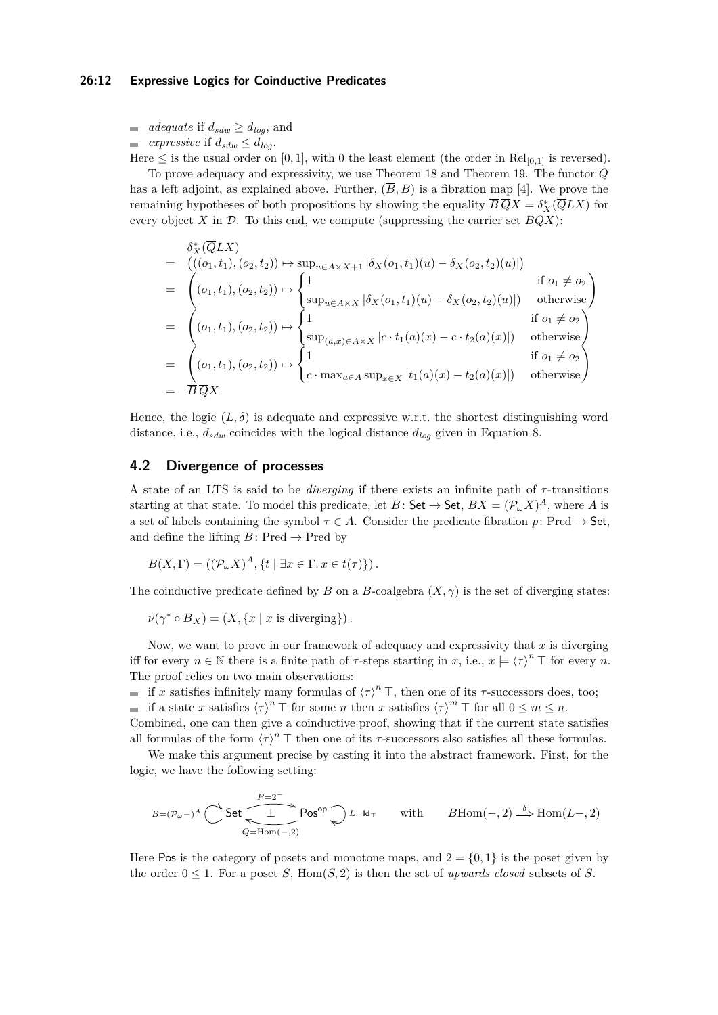### **26:12 Expressive Logics for Coinductive Predicates**

 $\blacksquare$  *adequate* if  $d_{sdw} \geq d_{log}$ , and

*expressive* if  $d_{sdw} \leq d_{log}$ .

Here  $\leq$  is the usual order on [0, 1], with 0 the least element (the order in Rel<sub>[0,1]</sub> is reversed). To prove adequacy and expressivity, we use Theorem [18](#page-8-1) and Theorem [19.](#page-8-0) The functor *Q* has a left adjoint, as explained above. Further,  $(\overline{B}, B)$  is a fibration map [\[4\]](#page-15-7). We prove the remaining hypotheses of both propositions by showing the equality  $\overline{B} \, \overline{Q} X = \delta_X^* (\overline{Q} L X)$  for every object  $X$  in  $D$ . To this end, we compute (suppressing the carrier set  $BQX$ ):

$$
\delta_X^*(\overline{Q}LX)
$$
\n
$$
= (((o_1, t_1), (o_2, t_2)) \mapsto \sup_{u \in A \times X+1} |\delta_X(o_1, t_1)(u) - \delta_X(o_2, t_2)(u)|)
$$
\n
$$
= ((o_1, t_1), (o_2, t_2)) \mapsto \begin{cases}\n1 & \text{if } o_1 \neq o_2 \\
\sup_{u \in A \times X} |\delta_X(o_1, t_1)(u) - \delta_X(o_2, t_2)(u)|) & \text{otherwise}\n\end{cases}
$$
\n
$$
= ((o_1, t_1), (o_2, t_2)) \mapsto \begin{cases}\n1 & \text{if } o_1 \neq o_2 \\
\sup_{(a, x) \in A \times X} |c \cdot t_1(a)(x) - c \cdot t_2(a)(x)|) & \text{otherwise}\n\end{cases}
$$
\n
$$
= ((o_1, t_1), (o_2, t_2)) \mapsto \begin{cases}\n1 & \text{if } o_1 \neq o_2 \\
c \cdot \max_{a \in A} \sup_{x \in X} |t_1(a)(x) - t_2(a)(x)|) & \text{otherwise}\n\end{cases}
$$

Hence, the logic  $(L, \delta)$  is adequate and expressive w.r.t. the shortest distinguishing word distance, i.e., *dsdw* coincides with the logical distance *dlog* given in Equation [8.](#page-10-1)

# <span id="page-11-0"></span>**4.2 Divergence of processes**

A state of an LTS is said to be *diverging* if there exists an infinite path of *τ* -transitions starting at that state. To model this predicate, let  $B:$  Set  $\rightarrow$  Set,  $BX = (\mathcal{P}_{\omega}X)^A$ , where A is a set of labels containing the symbol  $\tau \in A$ . Consider the predicate fibration p: Pred  $\rightarrow$  Set, and define the lifting  $\overline{B}\colon \mathrm{Pred} \to \mathrm{Pred}$  by

$$
\overline{B}(X,\Gamma) = ((\mathcal{P}_{\omega}X)^A, \{t \mid \exists x \in \Gamma \ldotp x \in t(\tau)\}).
$$

The coinductive predicate defined by  $\overline{B}$  on a *B*-coalgebra  $(X, \gamma)$  is the set of diverging states:

$$
\nu(\gamma^* \circ \overline{B}_X) = (X, \{x \mid x \text{ is diverging}\}).
$$

Now, we want to prove in our framework of adequacy and expressivity that *x* is diverging iff for every  $n \in \mathbb{N}$  there is a finite path of  $\tau$ -steps starting in  $x$ , i.e.,  $x \models \langle \tau \rangle^n \top$  for every  $n$ . The proof relies on two main observations:

if *x* satisfies infinitely many formulas of  $\langle \tau \rangle^n$  T, then one of its *τ*-successors does, too; if a state *x* satisfies  $\langle \tau \rangle^n \top$  for some *n* then *x* satisfies  $\langle \tau \rangle^m \top$  for all  $0 \leq m \leq n$ .

Combined, one can then give a coinductive proof, showing that if the current state satisfies all formulas of the form  $\langle \tau \rangle^n$   $\top$  then one of its *τ*-successors also satisfies all these formulas.

We make this argument precise by casting it into the abstract framework. First, for the logic, we have the following setting:

$$
\mathit{B} = (\mathcal{P}_\omega -)^A \bigcirc \text{Set} \overbrace{\underbrace{\underbrace{\underbrace{\underbrace{\mathbf{1}}}_{Q=\mathrm{Hom}(-,2)}}}^{P=2^-} \text{Pos}^\mathrm{op} \bigcirc \text{ } \mathit{L} = \mathrm{Id}_\top \qquad \text{with} \qquad \mathit{B}\mathrm{Hom}(-,2) \stackrel{\delta}{\Longrightarrow} \mathrm{Hom}(L-,2)
$$

Here Pos is the category of posets and monotone maps, and  $2 = \{0, 1\}$  is the poset given by the order  $0 \leq 1$ . For a poset *S*, Hom(*S*, 2) is then the set of *upwards closed* subsets of *S*.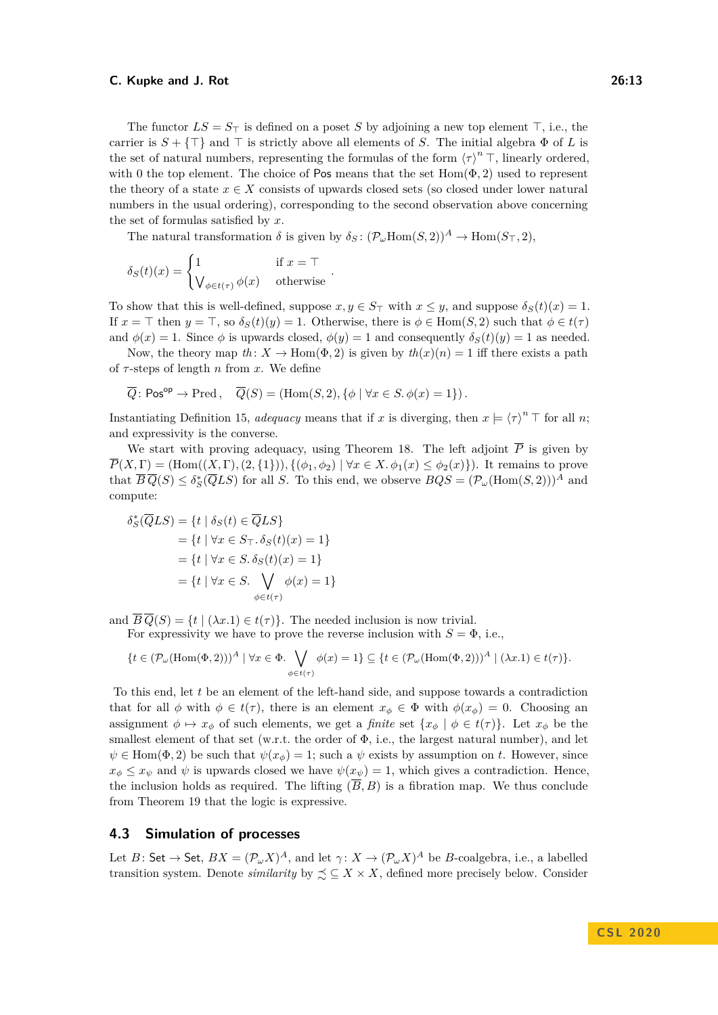The functor  $LS = S_{\perp}$  is defined on a poset *S* by adjoining a new top element  $\top$ , i.e., the carrier is  $S + \{\top\}$  and  $\top$  is strictly above all elements of *S*. The initial algebra  $\Phi$  of *L* is the set of natural numbers, representing the formulas of the form  $\langle \tau \rangle^n \top$ , linearly ordered, with 0 the top element. The choice of Pos means that the set  $Hom(\Phi, 2)$  used to represent the theory of a state  $x \in X$  consists of upwards closed sets (so closed under lower natural numbers in the usual ordering), corresponding to the second observation above concerning the set of formulas satisfied by *x*.

The natural transformation  $\delta$  is given by  $\delta_S$ :  $(\mathcal{P}_{\omega}Hom(S, 2))^A \to Hom(S_{\top}, 2)$ ,

$$
\delta_S(t)(x) = \begin{cases} 1 & \text{if } x = \top \\ \bigvee_{\phi \in t(\tau)} \phi(x) & \text{otherwise} \end{cases}.
$$

To show that this is well-defined, suppose  $x, y \in S_{\top}$  with  $x \leq y$ , and suppose  $\delta_S(t)(x) = 1$ . If  $x = \top$  then  $y = \top$ , so  $\delta_S(t)(y) = 1$ . Otherwise, there is  $\phi \in \text{Hom}(S, 2)$  such that  $\phi \in t(\tau)$ and  $\phi(x) = 1$ . Since  $\phi$  is upwards closed,  $\phi(y) = 1$  and consequently  $\delta_S(t)(y) = 1$  as needed.

Now, the theory map  $th: X \to \text{Hom}(\Phi, 2)$  is given by  $th(x)(n) = 1$  iff there exists a path of *τ* -steps of length *n* from *x*. We define

$$
\overline{Q} \colon \mathsf{Pos}^{\mathsf{op}} \to \mathsf{Pred}\,, \quad \overline{Q}(S) = (\mathsf{Hom}(S,2), \{\phi \mid \forall x \in S. \, \phi(x) = 1\})\,.
$$

Instantiating Definition [15,](#page-7-0) *adequacy* means that if *x* is diverging, then  $x \models \langle \tau \rangle^n \top$  for all *n*; and expressivity is the converse.

We start with proving adequacy, using Theorem [18.](#page-8-1) The left adjoint  $\overline{P}$  is given by  $\overline{P}(X,\Gamma) = (\text{Hom}((X,\Gamma),(2,\{1\})), \{(\phi_1,\phi_2) \mid \forall x \in X \ldotp \phi_1(x) \leq \phi_2(x)\})$ . It remains to prove that  $\overline{B}\,\overline{Q}(S) \leq \delta_S^*(\overline{Q}LS)$  for all *S*. To this end, we observe  $BQS = (\mathcal{P}_\omega(\text{Hom}(S,2)))^A$  and compute:

$$
\delta_S^*(\overline{Q}LS) = \{t \mid \delta_S(t) \in \overline{Q}LS\}
$$

$$
= \{t \mid \forall x \in S_{\top}. \delta_S(t)(x) = 1\}
$$

$$
= \{t \mid \forall x \in S. \delta_S(t)(x) = 1\}
$$

$$
= \{t \mid \forall x \in S. \bigvee_{\phi \in t(\tau)} \phi(x) = 1\}
$$

and  $\overline{B}\overline{Q}(S) = \{t \mid (\lambda x.1) \in t(\tau)\}.$  The needed inclusion is now trivial.

For expressivity we have to prove the reverse inclusion with  $S = \Phi$ , i.e.,

$$
\{t \in (\mathcal{P}_{\omega}(\text{Hom}(\Phi,2)))^A \mid \forall x \in \Phi. \bigvee_{\phi \in t(\tau)} \phi(x) = 1\} \subseteq \{t \in (\mathcal{P}_{\omega}(\text{Hom}(\Phi,2)))^A \mid (\lambda x.1) \in t(\tau)\}.
$$

To this end, let *t* be an element of the left-hand side, and suppose towards a contradiction that for all  $\phi$  with  $\phi \in t(\tau)$ , there is an element  $x_{\phi} \in \Phi$  with  $\phi(x_{\phi}) = 0$ . Choosing an assignment  $\phi \mapsto x_{\phi}$  of such elements, we get a *finite* set  $\{x_{\phi} \mid \phi \in t(\tau)\}\$ . Let  $x_{\phi}$  be the smallest element of that set (w.r.t. the order of Φ, i.e., the largest natural number), and let  $\psi \in \text{Hom}(\Phi, 2)$  be such that  $\psi(x_{\phi}) = 1$ ; such a  $\psi$  exists by assumption on *t*. However, since  $x_{\phi} \leq x_{\psi}$  and  $\psi$  is upwards closed we have  $\psi(x_{\psi}) = 1$ , which gives a contradiction. Hence, the inclusion holds as required. The lifting  $(\overline{B}, B)$  is a fibration map. We thus conclude from Theorem [19](#page-8-0) that the logic is expressive.

### <span id="page-12-0"></span>**4.3 Simulation of processes**

Let  $B:$  Set  $\to$  Set,  $BX = (\mathcal{P}_{\omega}X)^A$ , and let  $\gamma: X \to (\mathcal{P}_{\omega}X)^A$  be *B*-coalgebra, i.e., a labelled transition system. Denote *similarity* by  $\leq \leq X \times X$ , defined more precisely below. Consider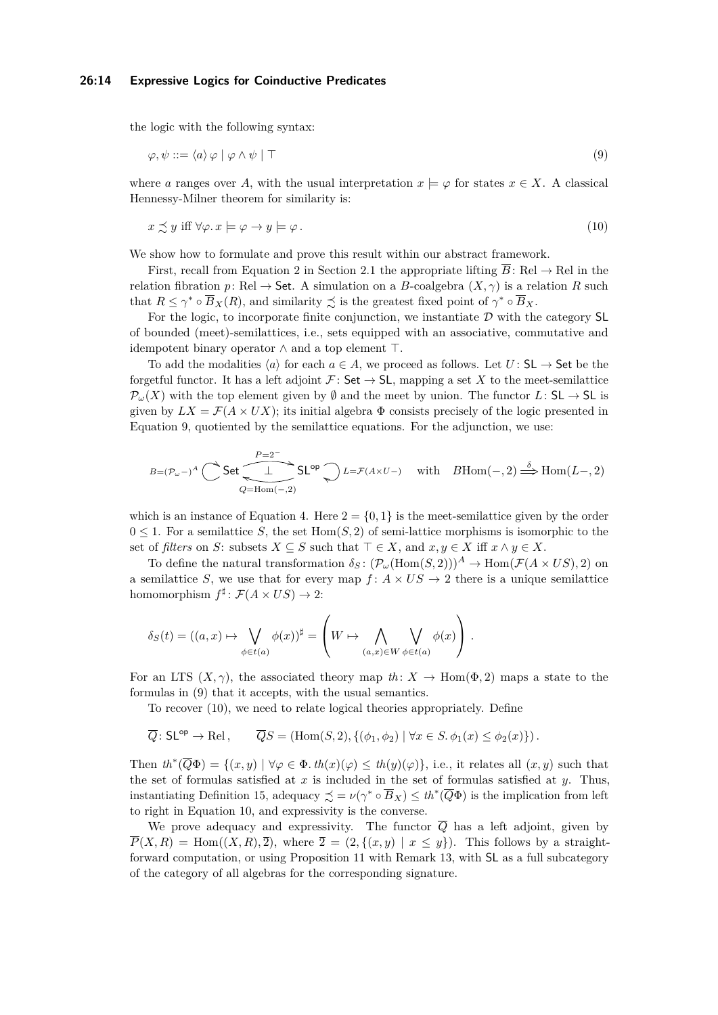### **26:14 Expressive Logics for Coinductive Predicates**

the logic with the following syntax:

<span id="page-13-0"></span>
$$
\varphi, \psi ::= \langle a \rangle \varphi \mid \varphi \land \psi \mid \top \tag{9}
$$

where *a* ranges over *A*, with the usual interpretation  $x \models \varphi$  for states  $x \in X$ . A classical Hennessy-Milner theorem for similarity is:

<span id="page-13-1"></span>
$$
x \preceq y \text{ iff } \forall \varphi \ldotp x \models \varphi \to y \models \varphi \,.
$$
\n
$$
(10)
$$

We show how to formulate and prove this result within our abstract framework.

First, recall from Equation [2](#page-3-0) in Section [2.1](#page-2-0) the appropriate lifting  $\overline{B}$ : Rel  $\rightarrow$  Rel in the relation fibration *p*: Rel  $\rightarrow$  Set. A simulation on a *B*-coalgebra  $(X, \gamma)$  is a relation *R* such that  $R \le \gamma^* \circ \overline{B}_X(R)$ , and similarity  $\precsim$  is the greatest fixed point of  $\gamma^* \circ \overline{B}_X$ .

For the logic, to incorporate finite conjunction, we instantiate  $\mathcal D$  with the category SL of bounded (meet)-semilattices, i.e., sets equipped with an associative, commutative and idempotent binary operator  $\land$  and a top element  $\top$ .

To add the modalities  $\langle a \rangle$  for each  $a \in A$ , we proceed as follows. Let  $U : SL \to Set$  be the forgetful functor. It has a left adjoint  $\mathcal{F}:$  Set  $\rightarrow$  SL, mapping a set X to the meet-semilattice  $\mathcal{P}_{\omega}(X)$  with the top element given by  $\emptyset$  and the meet by union. The functor  $L:$  SL  $\rightarrow$  SL is given by  $LX = \mathcal{F}(A \times UX)$ ; its initial algebra  $\Phi$  consists precisely of the logic presented in Equation [9,](#page-13-0) quotiented by the semilattice equations. For the adjunction, we use:

$$
\mathit{B} = (\mathcal{P}_\omega -)^A \bigcirc \text{Set} \overbrace{\underbrace{\underbrace{\qquad \qquad } }_{Q=\mathrm{Hom}(-,2)}}^{P=2^-} \mathrm{SL}^{\mathrm{op}} \bigcirc \text{ } \mathit{L} = \mathcal{F}(A \times U-) \quad \text{ with } \quad \mathit{B}\mathrm{Hom}(-,2) \stackrel{\delta}{\Longrightarrow} \mathrm{Hom}(L-,2)
$$

which is an instance of Equation [4.](#page-6-1) Here  $2 = \{0, 1\}$  is the meet-semilattice given by the order  $0 \leq 1$ . For a semilattice *S*, the set Hom $(S, 2)$  of semi-lattice morphisms is isomorphic to the set of *filters* on *S*: subsets  $X \subseteq S$  such that  $\top \in X$ , and  $x, y \in X$  iff  $x \wedge y \in X$ .

To define the natural transformation  $\delta_S$ :  $(\mathcal{P}_\omega(\text{Hom}(S,2)))^A \to \text{Hom}(\mathcal{F}(A \times US), 2)$  on a semilattice *S*, we use that for every map  $f: A \times US \to 2$  there is a unique semilattice homomorphism  $f^{\sharp}$ :  $\mathcal{F}(A \times US) \rightarrow 2$ :

$$
\delta_S(t) = ((a, x) \mapsto \bigvee_{\phi \in t(a)} \phi(x))^{\sharp} = \left(W \mapsto \bigwedge_{(a, x) \in W} \bigvee_{\phi \in t(a)} \phi(x)\right).
$$

For an LTS  $(X, \gamma)$ , the associated theory map  $th: X \to \text{Hom}(\Phi, 2)$  maps a state to the formulas in [\(9\)](#page-13-0) that it accepts, with the usual semantics.

To recover [\(10\)](#page-13-1), we need to relate logical theories appropriately. Define

$$
\overline{Q} \colon \mathsf{SL}^{\mathsf{op}} \to \mathsf{Rel}\,, \qquad \overline{Q}S = (\mathsf{Hom}(S,2), \{(\phi_1, \phi_2) \mid \forall x \in S, \phi_1(x) \le \phi_2(x)\}).
$$

Then  $th^*(\overline{Q}\Phi) = \{(x, y) \mid \forall \varphi \in \Phi \cdot th(x)(\varphi) \leq th(y)(\varphi)\}\)$ , i.e., it relates all  $(x, y)$  such that the set of formulas satisfied at *x* is included in the set of formulas satisfied at *y*. Thus, instantiating Definition [15,](#page-7-0) adequacy  $\precsim = \nu(\gamma^* \circ \overline{B}_X) \le th^*(\overline{Q}\Phi)$  is the implication from left to right in Equation [10,](#page-13-1) and expressivity is the converse.

We prove adequacy and expressivity. The functor  $\overline{Q}$  has a left adjoint, given by  $\overline{P}(X, R) = \text{Hom}((X, R), \overline{2})$ , where  $\overline{2} = (2, \{(x, y) \mid x \leq y\})$ . This follows by a straightforward computation, or using Proposition [11](#page-6-2) with Remark [13,](#page-7-1) with SL as a full subcategory of the category of all algebras for the corresponding signature.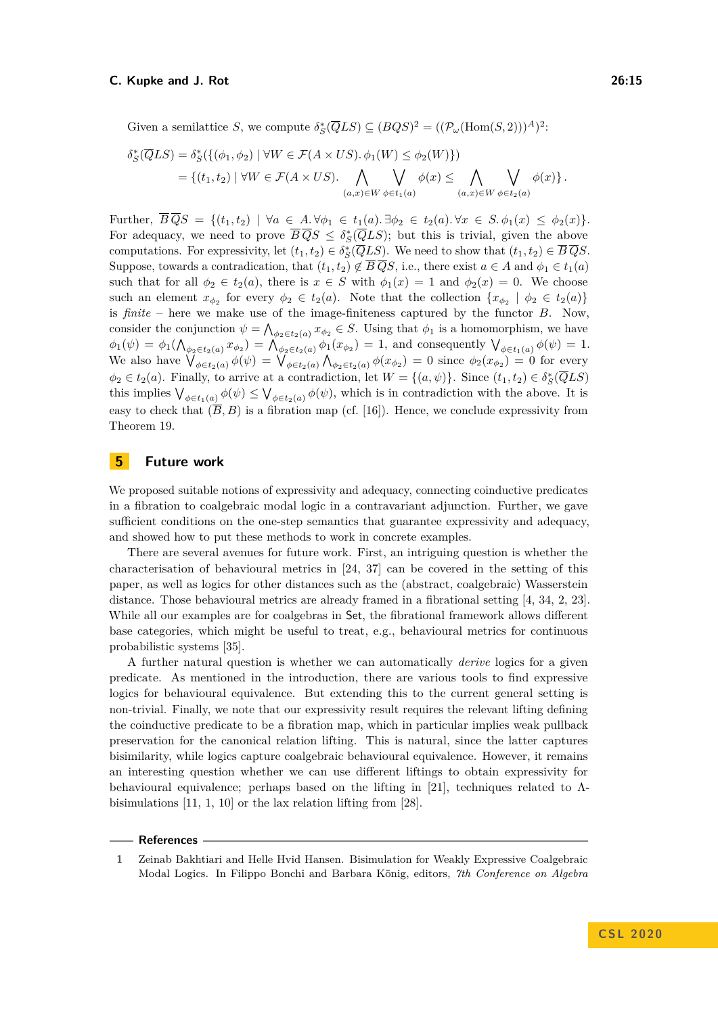Given a semilattice *S*, we compute  $\delta_S^*(\overline{Q}LS) \subseteq (BQS)^2 = ((\mathcal{P}_{\omega}(\text{Hom}(S,2)))^A)^2$ :

$$
\delta_S^*(\overline{Q}LS) = \delta_S^*(\{(\phi_1, \phi_2) \mid \forall W \in \mathcal{F}(A \times US). \phi_1(W) \le \phi_2(W)\})
$$
  
=  $\{(t_1, t_2) \mid \forall W \in \mathcal{F}(A \times US). \bigwedge_{(a,x) \in W} \bigvee_{\phi \in t_1(a)} \phi(x) \le \bigwedge_{(a,x) \in W} \bigvee_{\phi \in t_2(a)} \phi(x)\}.$ 

Further,  $\overline{B}\,\overline{Q}S = \{(t_1,t_2) \mid \forall a \in A.\forall \phi_1 \in t_1(a).\exists \phi_2 \in t_2(a).\forall x \in S.\,\phi_1(x) \leq \phi_2(x)\}.$ For adequacy, we need to prove  $\overline{B} \overline{Q} S \leq \delta_S^* (\overline{Q} L S)$ ; but this is trivial, given the above computations. For expressivity, let  $(t_1, t_2) \in \delta_S^*(\overline{Q}LS)$ . We need to show that  $(t_1, t_2) \in \overline{B} \, \overline{Q}S$ . Suppose, towards a contradication, that  $(t_1, t_2) \notin \overline{B} \overline{Q} S$ , i.e., there exist  $a \in A$  and  $\phi_1 \in t_1(a)$ such that for all  $\phi_2 \in t_2(a)$ , there is  $x \in S$  with  $\phi_1(x) = 1$  and  $\phi_2(x) = 0$ . We choose such an element  $x_{\phi_2}$  for every  $\phi_2 \in t_2(a)$ . Note that the collection  $\{x_{\phi_2} \mid \phi_2 \in t_2(a)\}\$ is *finite* – here we make use of the image-finiteness captured by the functor *B*. Now, consider the conjunction  $\psi = \bigwedge_{\phi_2 \in t_2(a)} x_{\phi_2} \in S$ . Using that  $\phi_1$  is a homomorphism, we have  $\phi_1(\psi) = \phi_1(\bigwedge_{\phi_2 \in t_2(a)} x_{\phi_2}) = \bigwedge_{\phi_2 \in t_2(a)} \phi_1(x_{\phi_2}) = 1$ , and consequently  $\bigvee_{\phi \in t_1(a)} \phi(\psi) = 1$ . We also have  $\bigvee_{\phi \in t_2(a)} \phi(\psi) = \bigvee_{\phi \in t_2(a)} \bigwedge_{\phi_2 \in t_2(a)} \phi(x_{\phi_2}) = 0$  since  $\phi_2(x_{\phi_2}) = 0$  for every  $\phi_2 \in t_2(a)$ . Finally, to arrive at a contradiction, let  $W = \{(a, \psi)\}\.$  Since  $(t_1, t_2) \in \delta_S^*(\overline{Q}LS)$ this implies  $\bigvee_{\phi \in t_1(a)} \phi(\psi) \leq \bigvee_{\phi \in t_2(a)} \phi(\psi)$ , which is in contradiction with the above. It is easy to check that  $(\overline{B}, B)$  is a fibration map (cf. [\[16\]](#page-15-5)). Hence, we conclude expressivity from Theorem [19.](#page-8-0)

# **5 Future work**

We proposed suitable notions of expressivity and adequacy, connecting coinductive predicates in a fibration to coalgebraic modal logic in a contravariant adjunction. Further, we gave sufficient conditions on the one-step semantics that guarantee expressivity and adequacy, and showed how to put these methods to work in concrete examples.

There are several avenues for future work. First, an intriguing question is whether the characterisation of behavioural metrics in [\[24,](#page-16-2) [37\]](#page-17-2) can be covered in the setting of this paper, as well as logics for other distances such as the (abstract, coalgebraic) Wasserstein distance. Those behavioural metrics are already framed in a fibrational setting [\[4,](#page-15-7) [34,](#page-16-9) [2,](#page-15-6) [23\]](#page-16-13). While all our examples are for coalgebras in Set, the fibrational framework allows different base categories, which might be useful to treat, e.g., behavioural metrics for continuous probabilistic systems [\[35\]](#page-17-1).

A further natural question is whether we can automatically *derive* logics for a given predicate. As mentioned in the introduction, there are various tools to find expressive logics for behavioural equivalence. But extending this to the current general setting is non-trivial. Finally, we note that our expressivity result requires the relevant lifting defining the coinductive predicate to be a fibration map, which in particular implies weak pullback preservation for the canonical relation lifting. This is natural, since the latter captures bisimilarity, while logics capture coalgebraic behavioural equivalence. However, it remains an interesting question whether we can use different liftings to obtain expressivity for behavioural equivalence; perhaps based on the lifting in [\[21\]](#page-16-15), techniques related to  $\Lambda$ bisimulations [\[11,](#page-15-11) [1,](#page-14-0) [10\]](#page-15-15) or the lax relation lifting from [\[28\]](#page-16-16).

### **References**

<span id="page-14-0"></span>**<sup>1</sup>** Zeinab Bakhtiari and Helle Hvid Hansen. Bisimulation for Weakly Expressive Coalgebraic Modal Logics. In Filippo Bonchi and Barbara König, editors, *7th Conference on Algebra*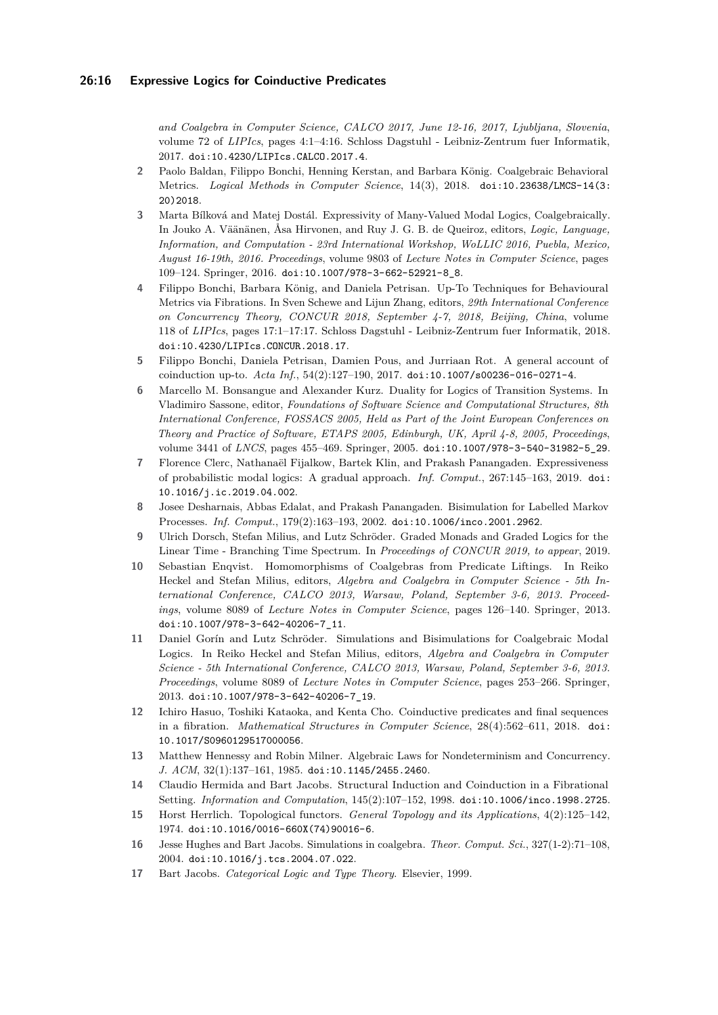*and Coalgebra in Computer Science, CALCO 2017, June 12-16, 2017, Ljubljana, Slovenia*, volume 72 of *LIPIcs*, pages 4:1–4:16. Schloss Dagstuhl - Leibniz-Zentrum fuer Informatik, 2017. [doi:10.4230/LIPIcs.CALCO.2017.4](https://doi.org/10.4230/LIPIcs.CALCO.2017.4).

- <span id="page-15-6"></span>**2** Paolo Baldan, Filippo Bonchi, Henning Kerstan, and Barbara König. Coalgebraic Behavioral Metrics. *Logical Methods in Computer Science*, 14(3), 2018. [doi:10.23638/LMCS-14\(3:](https://doi.org/10.23638/LMCS-14(3:20)2018) [20\)2018](https://doi.org/10.23638/LMCS-14(3:20)2018).
- <span id="page-15-10"></span>**3** Marta Bílková and Matej Dostál. Expressivity of Many-Valued Modal Logics, Coalgebraically. In Jouko A. Väänänen, Åsa Hirvonen, and Ruy J. G. B. de Queiroz, editors, *Logic, Language, Information, and Computation - 23rd International Workshop, WoLLIC 2016, Puebla, Mexico, August 16-19th, 2016. Proceedings*, volume 9803 of *Lecture Notes in Computer Science*, pages 109–124. Springer, 2016. [doi:10.1007/978-3-662-52921-8\\_8](https://doi.org/10.1007/978-3-662-52921-8_8).
- <span id="page-15-7"></span>**4** Filippo Bonchi, Barbara König, and Daniela Petrisan. Up-To Techniques for Behavioural Metrics via Fibrations. In Sven Schewe and Lijun Zhang, editors, *29th International Conference on Concurrency Theory, CONCUR 2018, September 4-7, 2018, Beijing, China*, volume 118 of *LIPIcs*, pages 17:1–17:17. Schloss Dagstuhl - Leibniz-Zentrum fuer Informatik, 2018. [doi:10.4230/LIPIcs.CONCUR.2018.17](https://doi.org/10.4230/LIPIcs.CONCUR.2018.17).
- <span id="page-15-8"></span>**5** Filippo Bonchi, Daniela Petrisan, Damien Pous, and Jurriaan Rot. A general account of coinduction up-to. *Acta Inf.*, 54(2):127–190, 2017. [doi:10.1007/s00236-016-0271-4](https://doi.org/10.1007/s00236-016-0271-4).
- <span id="page-15-9"></span>**6** Marcello M. Bonsangue and Alexander Kurz. Duality for Logics of Transition Systems. In Vladimiro Sassone, editor, *Foundations of Software Science and Computational Structures, 8th International Conference, FOSSACS 2005, Held as Part of the Joint European Conferences on Theory and Practice of Software, ETAPS 2005, Edinburgh, UK, April 4-8, 2005, Proceedings*, volume 3441 of *LNCS*, pages 455–469. Springer, 2005. [doi:10.1007/978-3-540-31982-5\\_29](https://doi.org/10.1007/978-3-540-31982-5_29).
- <span id="page-15-2"></span>**7** Florence Clerc, Nathanaël Fijalkow, Bartek Klin, and Prakash Panangaden. Expressiveness of probabilistic modal logics: A gradual approach. *Inf. Comput.*, 267:145–163, 2019. [doi:](https://doi.org/10.1016/j.ic.2019.04.002) [10.1016/j.ic.2019.04.002](https://doi.org/10.1016/j.ic.2019.04.002).
- <span id="page-15-1"></span>**8** Josee Desharnais, Abbas Edalat, and Prakash Panangaden. Bisimulation for Labelled Markov Processes. *Inf. Comput.*, 179(2):163–193, 2002. [doi:10.1006/inco.2001.2962](https://doi.org/10.1006/inco.2001.2962).
- <span id="page-15-12"></span>**9** Ulrich Dorsch, Stefan Milius, and Lutz Schröder. Graded Monads and Graded Logics for the Linear Time - Branching Time Spectrum. In *Proceedings of CONCUR 2019, to appear*, 2019.
- <span id="page-15-15"></span>**10** Sebastian Enqvist. Homomorphisms of Coalgebras from Predicate Liftings. In Reiko Heckel and Stefan Milius, editors, *Algebra and Coalgebra in Computer Science - 5th International Conference, CALCO 2013, Warsaw, Poland, September 3-6, 2013. Proceedings*, volume 8089 of *Lecture Notes in Computer Science*, pages 126–140. Springer, 2013. [doi:10.1007/978-3-642-40206-7\\_11](https://doi.org/10.1007/978-3-642-40206-7_11).
- <span id="page-15-11"></span>**11** Daniel Gorín and Lutz Schröder. Simulations and Bisimulations for Coalgebraic Modal Logics. In Reiko Heckel and Stefan Milius, editors, *Algebra and Coalgebra in Computer Science - 5th International Conference, CALCO 2013, Warsaw, Poland, September 3-6, 2013. Proceedings*, volume 8089 of *Lecture Notes in Computer Science*, pages 253–266. Springer, 2013. [doi:10.1007/978-3-642-40206-7\\_19](https://doi.org/10.1007/978-3-642-40206-7_19).
- <span id="page-15-4"></span>**12** Ichiro Hasuo, Toshiki Kataoka, and Kenta Cho. Coinductive predicates and final sequences in a fibration. *Mathematical Structures in Computer Science*, 28(4):562–611, 2018. [doi:](https://doi.org/10.1017/S0960129517000056) [10.1017/S0960129517000056](https://doi.org/10.1017/S0960129517000056).
- <span id="page-15-0"></span>**13** Matthew Hennessy and Robin Milner. Algebraic Laws for Nondeterminism and Concurrency. *J. ACM*, 32(1):137–161, 1985. [doi:10.1145/2455.2460](https://doi.org/10.1145/2455.2460).
- <span id="page-15-3"></span>**14** Claudio Hermida and Bart Jacobs. Structural Induction and Coinduction in a Fibrational Setting. *Information and Computation*, 145(2):107–152, 1998. [doi:10.1006/inco.1998.2725](https://doi.org/10.1006/inco.1998.2725).
- <span id="page-15-14"></span>**15** Horst Herrlich. Topological functors. *General Topology and its Applications*, 4(2):125–142, 1974. [doi:10.1016/0016-660X\(74\)90016-6](https://doi.org/10.1016/0016-660X(74)90016-6).
- <span id="page-15-5"></span>**16** Jesse Hughes and Bart Jacobs. Simulations in coalgebra. *Theor. Comput. Sci.*, 327(1-2):71–108, 2004. [doi:10.1016/j.tcs.2004.07.022](https://doi.org/10.1016/j.tcs.2004.07.022).
- <span id="page-15-13"></span>**17** Bart Jacobs. *Categorical Logic and Type Theory*. Elsevier, 1999.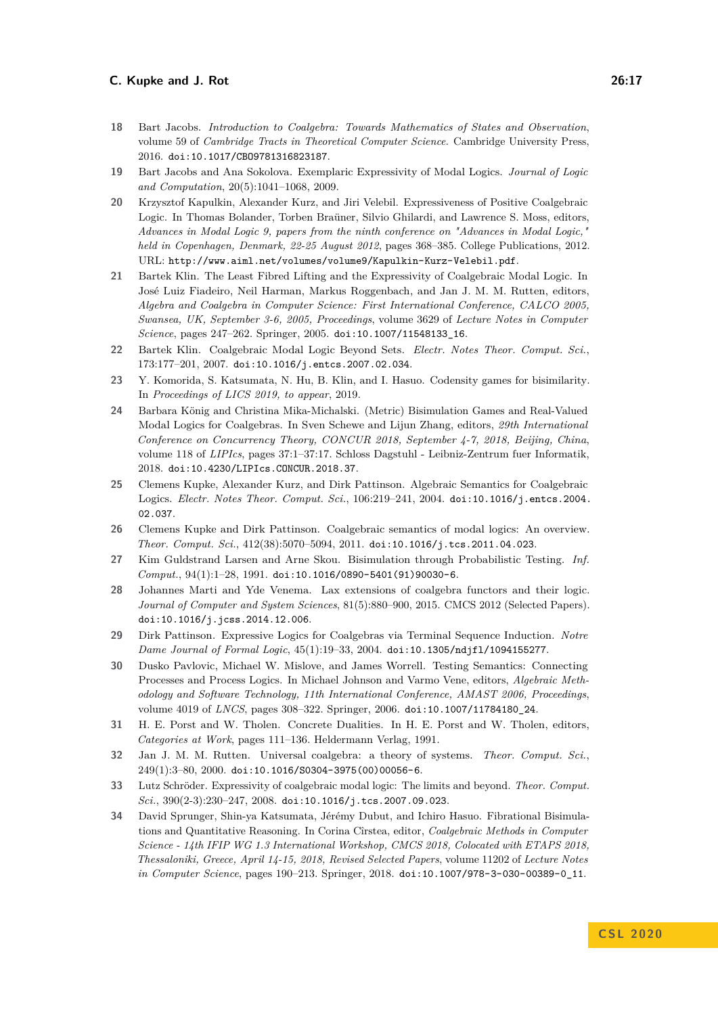- <span id="page-16-4"></span>**18** Bart Jacobs. *Introduction to Coalgebra: Towards Mathematics of States and Observation*, volume 59 of *Cambridge Tracts in Theoretical Computer Science*. Cambridge University Press, 2016. [doi:10.1017/CBO9781316823187](https://doi.org/10.1017/CBO9781316823187).
- <span id="page-16-1"></span>**19** Bart Jacobs and Ana Sokolova. Exemplaric Expressivity of Modal Logics. *Journal of Logic and Computation*, 20(5):1041–1068, 2009.
- <span id="page-16-12"></span>**20** Krzysztof Kapulkin, Alexander Kurz, and Jiri Velebil. Expressiveness of Positive Coalgebraic Logic. In Thomas Bolander, Torben Braüner, Silvio Ghilardi, and Lawrence S. Moss, editors, *Advances in Modal Logic 9, papers from the ninth conference on "Advances in Modal Logic," held in Copenhagen, Denmark, 22-25 August 2012*, pages 368–385. College Publications, 2012. URL: <http://www.aiml.net/volumes/volume9/Kapulkin-Kurz-Velebil.pdf>.
- <span id="page-16-15"></span>**21** Bartek Klin. The Least Fibred Lifting and the Expressivity of Coalgebraic Modal Logic. In José Luiz Fiadeiro, Neil Harman, Markus Roggenbach, and Jan J. M. M. Rutten, editors, *Algebra and Coalgebra in Computer Science: First International Conference, CALCO 2005, Swansea, UK, September 3-6, 2005, Proceedings*, volume 3629 of *Lecture Notes in Computer Science*, pages 247–262. Springer, 2005. [doi:10.1007/11548133\\_16](https://doi.org/10.1007/11548133_16).
- <span id="page-16-8"></span>**22** Bartek Klin. Coalgebraic Modal Logic Beyond Sets. *Electr. Notes Theor. Comput. Sci.*, 173:177–201, 2007. [doi:10.1016/j.entcs.2007.02.034](https://doi.org/10.1016/j.entcs.2007.02.034).
- <span id="page-16-13"></span>**23** Y. Komorida, S. Katsumata, N. Hu, B. Klin, and I. Hasuo. Codensity games for bisimilarity. In *Proceedings of LICS 2019, to appear*, 2019.
- <span id="page-16-2"></span>**24** Barbara König and Christina Mika-Michalski. (Metric) Bisimulation Games and Real-Valued Modal Logics for Coalgebras. In Sven Schewe and Lijun Zhang, editors, *29th International Conference on Concurrency Theory, CONCUR 2018, September 4-7, 2018, Beijing, China*, volume 118 of *LIPIcs*, pages 37:1–37:17. Schloss Dagstuhl - Leibniz-Zentrum fuer Informatik, 2018. [doi:10.4230/LIPIcs.CONCUR.2018.37](https://doi.org/10.4230/LIPIcs.CONCUR.2018.37).
- <span id="page-16-11"></span>**25** Clemens Kupke, Alexander Kurz, and Dirk Pattinson. Algebraic Semantics for Coalgebraic Logics. *Electr. Notes Theor. Comput. Sci.*, 106:219–241, 2004. [doi:10.1016/j.entcs.2004.](https://doi.org/10.1016/j.entcs.2004.02.037) [02.037](https://doi.org/10.1016/j.entcs.2004.02.037).
- <span id="page-16-5"></span>**26** Clemens Kupke and Dirk Pattinson. Coalgebraic semantics of modal logics: An overview. *Theor. Comput. Sci.*, 412(38):5070–5094, 2011. [doi:10.1016/j.tcs.2011.04.023](https://doi.org/10.1016/j.tcs.2011.04.023).
- <span id="page-16-0"></span>**27** Kim Guldstrand Larsen and Arne Skou. Bisimulation through Probabilistic Testing. *Inf. Comput.*, 94(1):1–28, 1991. [doi:10.1016/0890-5401\(91\)90030-6](https://doi.org/10.1016/0890-5401(91)90030-6).
- <span id="page-16-16"></span>**28** Johannes Marti and Yde Venema. Lax extensions of coalgebra functors and their logic. *Journal of Computer and System Sciences*, 81(5):880–900, 2015. CMCS 2012 (Selected Papers). [doi:10.1016/j.jcss.2014.12.006](https://doi.org/10.1016/j.jcss.2014.12.006).
- <span id="page-16-6"></span>**29** Dirk Pattinson. Expressive Logics for Coalgebras via Terminal Sequence Induction. *Notre Dame Journal of Formal Logic*, 45(1):19–33, 2004. [doi:10.1305/ndjfl/1094155277](https://doi.org/10.1305/ndjfl/1094155277).
- <span id="page-16-10"></span>**30** Dusko Pavlovic, Michael W. Mislove, and James Worrell. Testing Semantics: Connecting Processes and Process Logics. In Michael Johnson and Varmo Vene, editors, *Algebraic Methodology and Software Technology, 11th International Conference, AMAST 2006, Proceedings*, volume 4019 of *LNCS*, pages 308–322. Springer, 2006. [doi:10.1007/11784180\\_24](https://doi.org/10.1007/11784180_24).
- <span id="page-16-14"></span>**31** H. E. Porst and W. Tholen. Concrete Dualities. In H. E. Porst and W. Tholen, editors, *Categories at Work*, pages 111–136. Heldermann Verlag, 1991.
- <span id="page-16-3"></span>**32** Jan J. M. M. Rutten. Universal coalgebra: a theory of systems. *Theor. Comput. Sci.*, 249(1):3–80, 2000. [doi:10.1016/S0304-3975\(00\)00056-6](https://doi.org/10.1016/S0304-3975(00)00056-6).
- <span id="page-16-7"></span>**33** Lutz Schröder. Expressivity of coalgebraic modal logic: The limits and beyond. *Theor. Comput. Sci.*, 390(2-3):230–247, 2008. [doi:10.1016/j.tcs.2007.09.023](https://doi.org/10.1016/j.tcs.2007.09.023).
- <span id="page-16-9"></span>**34** David Sprunger, Shin-ya Katsumata, Jérémy Dubut, and Ichiro Hasuo. Fibrational Bisimulations and Quantitative Reasoning. In Corina Cîrstea, editor, *Coalgebraic Methods in Computer Science - 14th IFIP WG 1.3 International Workshop, CMCS 2018, Colocated with ETAPS 2018, Thessaloniki, Greece, April 14-15, 2018, Revised Selected Papers*, volume 11202 of *Lecture Notes in Computer Science*, pages 190–213. Springer, 2018. [doi:10.1007/978-3-030-00389-0\\_11](https://doi.org/10.1007/978-3-030-00389-0_11).